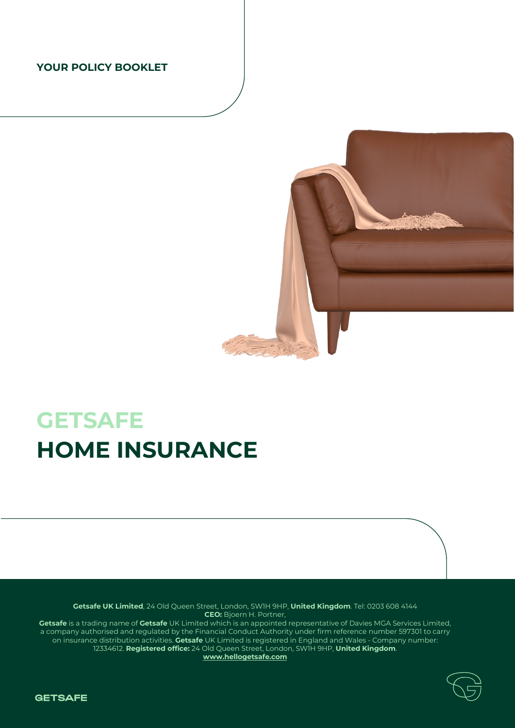# **YOUR POLICY BOOKLET**



# **GETSAFE HOME INSURANCE**

**Getsafe UK Limited**, 24 Old Queen Street, London, SW1H 9HP, **United Kingdom**. Tel: 0203 608 4144 **CEO:** Bjoern H. Portner, **Getsafe** is a trading name of **Getsafe** UK Limited which is an appointed representative of Davies MGA Services Limited, a company authorised and regulated by the Financial Conduct Authority under firm reference number 597301 to carry on insurance distribution activities. **Getsafe** UK Limited is registered in England and Wales - Company number: 12334612. **Registered office:** 24 Old Queen Street, London, SW1H 9HP, **United Kingdom**.

**[www.hellogetsafe.com](http://www.hellogetsafe.com/)**



**GETSAFE**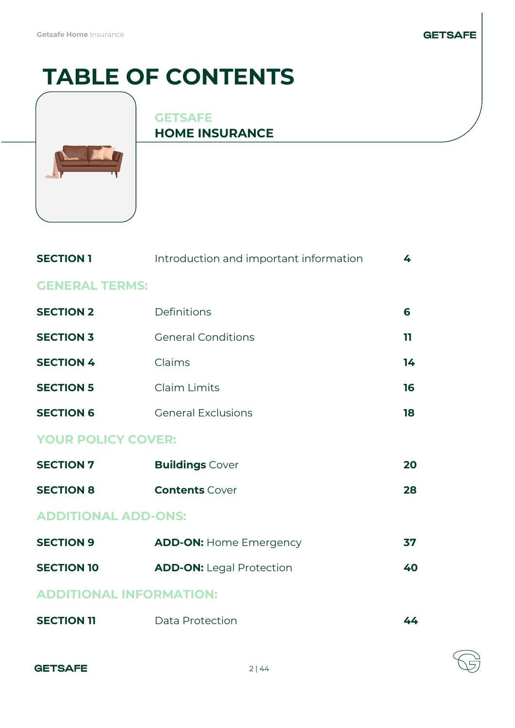# **GETSAFE**

# **TABLE OF CONTENTS**



# **GETSAFE HOME INSURANCE**

| <b>SECTION 1</b>               | Introduction and important information | 4  |  |
|--------------------------------|----------------------------------------|----|--|
| <b>GENERAL TERMS:</b>          |                                        |    |  |
| <b>SECTION 2</b>               | Definitions                            | 6  |  |
| <b>SECTION 3</b>               | <b>General Conditions</b>              | 11 |  |
| <b>SECTION 4</b>               | Claims                                 | 14 |  |
| <b>SECTION 5</b>               | Claim Limits                           | 16 |  |
| <b>SECTION 6</b>               | <b>General Exclusions</b>              | 18 |  |
| <b>YOUR POLICY COVER:</b>      |                                        |    |  |
| <b>SECTION 7</b>               | <b>Buildings Cover</b>                 | 20 |  |
| <b>SECTION 8</b>               | <b>Contents Cover</b>                  | 28 |  |
| <b>ADDITIONAL ADD-ONS:</b>     |                                        |    |  |
| <b>SECTION 9</b>               | <b>ADD-ON: Home Emergency</b>          | 37 |  |
| <b>SECTION 10</b>              | <b>ADD-ON: Legal Protection</b>        | 40 |  |
| <b>ADDITIONAL INFORMATION:</b> |                                        |    |  |
| <b>SECTION 11</b>              | Data Protection                        | 44 |  |

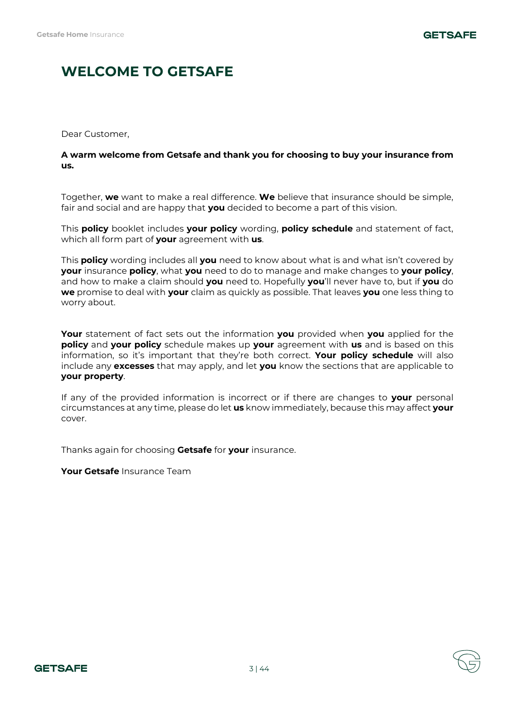# **WELCOME TO GETSAFE**

Dear Customer,

# **A warm welcome from Getsafe and thank you for choosing to buy your insurance from us.**

Together, **we** want to make a real difference. **We** believe that insurance should be simple, fair and social and are happy that **you** decided to become a part of this vision.

This **policy** booklet includes **your policy** wording, **policy schedule** and statement of fact, which all form part of **your** agreement with **us**.

This **policy** wording includes all **you** need to know about what is and what isn't covered by **your** insurance **policy**, what **you** need to do to manage and make changes to **your policy**, and how to make a claim should **you** need to. Hopefully **you**'ll never have to, but if **you** do **we** promise to deal with **your** claim as quickly as possible. That leaves **you** one less thing to worry about.

**Your** statement of fact sets out the information **you** provided when **you** applied for the **policy** and **your policy** schedule makes up **your** agreement with **us** and is based on this information, so it's important that they're both correct. **Your policy schedule** will also include any **excesses** that may apply, and let **you** know the sections that are applicable to **your property**.

If any of the provided information is incorrect or if there are changes to **your** personal circumstances at any time, please do let **us** know immediately, because this may affect **your**  cover.

Thanks again for choosing **Getsafe** for **your** insurance.

**Your Getsafe** Insurance Team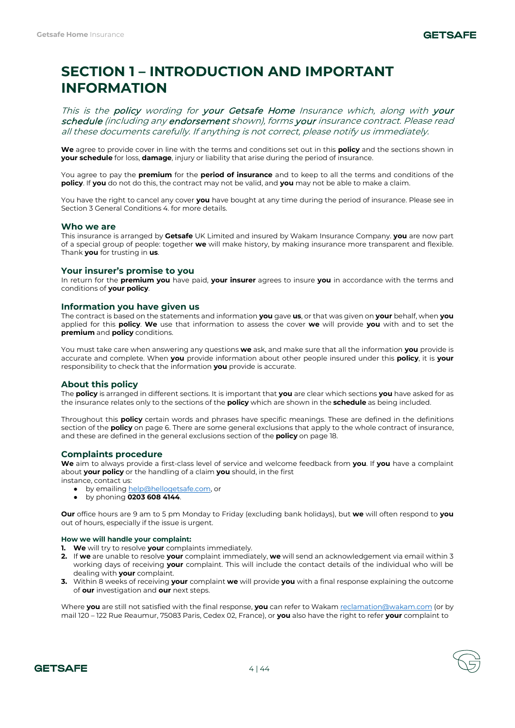# **SECTION 1 – INTRODUCTION AND IMPORTANT INFORMATION**

This is the policy wording for your Getsafe Home Insurance which, along with your schedule (including any endorsement shown), forms your insurance contract. Please read all these documents carefully. If anything is not correct, please notify us immediately.

**We** agree to provide cover in line with the terms and conditions set out in this **policy** and the sections shown in **your schedule** for loss, **damage**, injury or liability that arise during the period of insurance.

You agree to pay the **premium** for the **period of insurance** and to keep to all the terms and conditions of the **policy**. If **you** do not do this, the contract may not be valid, and **you** may not be able to make a claim.

You have the right to cancel any cover **you** have bought at any time during the period of insurance. Please see in Section 3 General Conditions 4. for more details.

# **Who we are**

This insurance is arranged by **Getsafe** UK Limited and insured by Wakam Insurance Company. **you** are now part of a special group of people: together **we** will make history, by making insurance more transparent and flexible. Thank **you** for trusting in **us**.

### **Your insurer's promise to you**

In return for the **premium you** have paid, **your insurer** agrees to insure **you** in accordance with the terms and conditions of **your policy**.

### **Information you have given us**

The contract is based on the statements and information **you** gave **us**, or that was given on **your** behalf, when **you**  applied for this **policy**. **We** use that information to assess the cover **we** will provide **you** with and to set the **premium** and **policy** conditions.

You must take care when answering any questions **we** ask, and make sure that all the information **you** provide is accurate and complete. When **you** provide information about other people insured under this **policy**, it is **your**  responsibility to check that the information **you** provide is accurate.

# **About this policy**

The **policy** is arranged in different sections. It is important that **you** are clear which sections **you** have asked for as the insurance relates only to the sections of the **policy** which are shown in the **schedule** as being included.

Throughout this **policy** certain words and phrases have specific meanings. These are defined in the definitions section of the **policy** on page 6. There are some general exclusions that apply to the whole contract of insurance, and these are defined in the general exclusions section of the **policy** on page 18.

# **Complaints procedure**

**We** aim to always provide a first-class level of service and welcome feedback from **you**. If **you** have a complaint about **your policy** or the handling of a claim **you** should, in the first

instance, contact us:

- by emailin[g help@hellogetsafe.com,](mailto:help@hellogetsafe.com) or
- by phoning **0203 608 4144**.

**Our** office hours are 9 am to 5 pm Monday to Friday (excluding bank holidays), but **we** will often respond to **you**  out of hours, especially if the issue is urgent.

#### **How we will handle your complaint:**

- **1. We** will try to resolve **your** complaints immediately.
- **2.** If **we** are unable to resolve **your** complaint immediately, **we** will send an acknowledgement via email within 3 working days of receiving **your** complaint. This will include the contact details of the individual who will be dealing with **your** complaint.
- **3.** Within 8 weeks of receiving **your** complaint **we** will provide **you** with a final response explaining the outcome of **our** investigation and **our** next steps.

Where **you** are still not satisfied with the final response, **you** can refer to Waka[m reclamation@wakam.com](mailto:reclamation@wakam.com) (or by mail 120 – 122 Rue Reaumur, 75083 Paris, Cedex 02, France), or **you** also have the right to refer **your** complaint to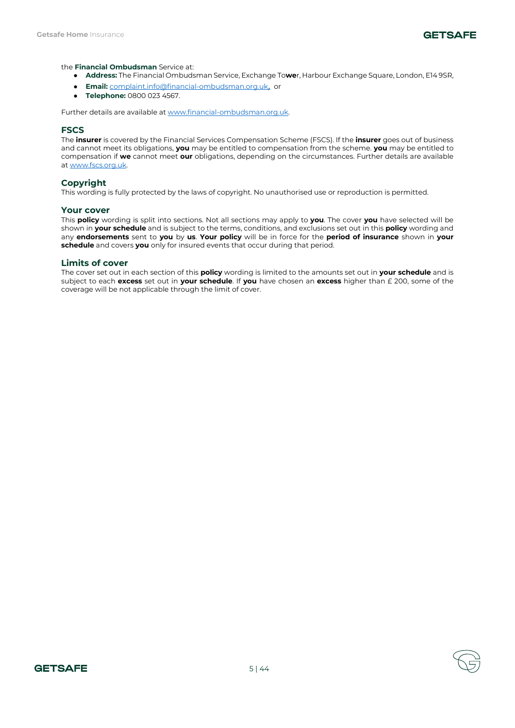

### the **Financial Ombudsman** Service at:

- **Address:** The Financial Ombudsman Service, Exchange To**we**r, Harbour Exchange Square, London, E14 9SR,
- **Email:** [complaint.info@financial-ombudsman.org.uk](mailto:complaint.info@financial-ombudsman.org.uk), or
- **Telephone:** 0800 023 4567.

Further details are available a[t www.financial-ombudsman.org.uk.](http://www.financial-ombudsman.org.uk/) 

# **FSCS**

The **insurer** is covered by the Financial Services Compensation Scheme (FSCS). If the **insurer** goes out of business and cannot meet its obligations, **you** may be entitled to compensation from the scheme. **you** may be entitled to compensation if **we** cannot meet **our** obligations, depending on the circumstances. Further details are available at [www.fscs.org.uk.](http://www.fscs.org.uk/)

# **Copyright**

This wording is fully protected by the laws of copyright. No unauthorised use or reproduction is permitted.

#### **Your cover**

This **policy** wording is split into sections. Not all sections may apply to **you**. The cover **you** have selected will be shown in **your schedule** and is subject to the terms, conditions, and exclusions set out in this **policy** wording and any **endorsements** sent to **you** by **us**. **Your policy** will be in force for the **period of insurance** shown in **your schedule** and covers **you** only for insured events that occur during that period.

### **Limits of cover**

The cover set out in each section of this **policy** wording is limited to the amounts set out in **your schedule** and is subject to each **excess** set out in **your schedule**. If **you** have chosen an **excess** higher than £ 200, some of the coverage will be not applicable through the limit of cover.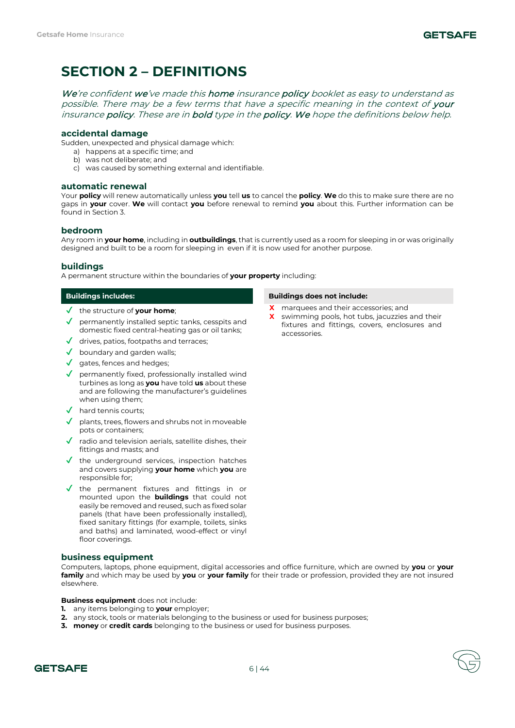# **SECTION 2 – DEFINITIONS**

We're confident we've made this home insurance policy booklet as easy to understand as possible. There may be a few terms that have a specific meaning in the context of your insurance policy. These are in bold type in the policy. We hope the definitions below help.

# **accidental damage**

Sudden, unexpected and physical damage which:

- a) happens at a specific time; and
- b) was not deliberate; and
- c) was caused by something external and identifiable.

# **automatic renewal**

Your **policy** will renew automatically unless **you** tell **us** to cancel the **policy**. **We** do this to make sure there are no gaps in **your** cover. **We** will contact **you** before renewal to remind **you** about this. Further information can be found in Section 3.

# **bedroom**

Any room in **your home**, including in **outbuildings**, that is currently used as a room for sleeping in or was originally designed and built to be a room for sleeping in even if it is now used for another purpose.

# **buildings**

A permanent structure within the boundaries of **your property** including:

- ✔ the structure of **your home**;
- $\checkmark$  permanently installed septic tanks, cesspits and domestic fixed central-heating gas or oil tanks;
- ✔ drives, patios, footpaths and terraces;
- $\checkmark$  boundary and garden walls:
- ✔ gates, fences and hedges;
- $\sqrt{\phantom{a}}$  permanently fixed, professionally installed wind turbines as long as **you** have told **us** about these and are following the manufacturer's guidelines when using them;
- ✔ hard tennis courts;
- plants, trees, flowers and shrubs not in moveable pots or containers;
- radio and television aerials, satellite dishes, their fittings and masts; and
- $\sqrt{\ }$  the underground services, inspection hatches and covers supplying **your home** which **you** are responsible for;
- ✔ the permanent fixtures and fittings in or mounted upon the **buildings** that could not easily be removed and reused, such as fixed solar panels (that have been professionally installed), fixed sanitary fittings (for example, toilets, sinks and baths) and laminated, wood-effect or vinyl floor coverings.

# **business equipment**

Computers, laptops, phone equipment, digital accessories and office furniture, which are owned by **you** or **your family** and which may be used by **you** or **your family** for their trade or profession, provided they are not insured elsewhere.

# **Business equipment** does not include:

- **1.** any items belonging to **your** employer;
- **2.** any stock, tools or materials belonging to the business or used for business purposes;
- **3. money** or **credit cards** belonging to the business or used for business purposes.

### **Buildings includes: Buildings does not include:**

- **X** marquees and their accessories; and
- **X** swimming pools, hot tubs, jacuzzies and their fixtures and fittings, covers, enclosures and accessories.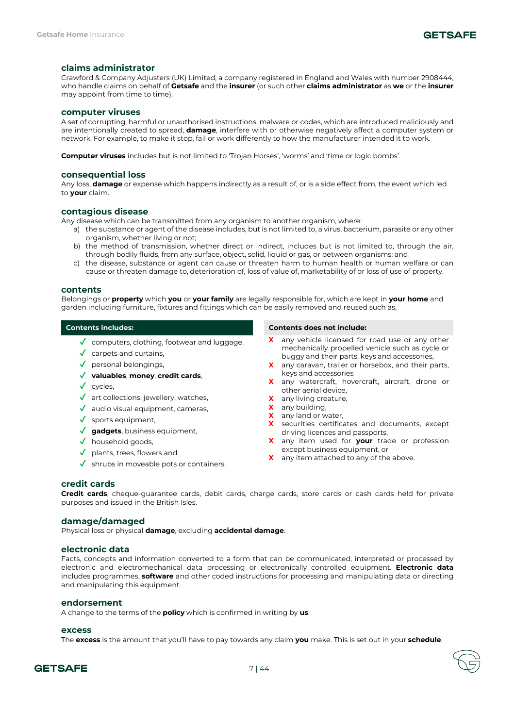# **claims administrator**

Crawford & Company Adjusters (UK) Limited, a company registered in England and Wales with number 2908444, who handle claims on behalf of **Getsafe** and the **insurer** (or such other **claims administrator** as **we** or the **insurer** may appoint from time to time).

# **computer viruses**

A set of corrupting, harmful or unauthorised instructions, malware or codes, which are introduced maliciously and are intentionally created to spread, **damage**, interfere with or otherwise negatively affect a computer system or network. For example, to make it stop, fail or work differently to how the manufacturer intended it to work.

**Computer viruses** includes but is not limited to 'Trojan Horses', 'worms' and 'time or logic bombs'.

# **consequential loss**

Any loss, **damage** or expense which happens indirectly as a result of, or is a side effect from, the event which led to **your** claim.

# **contagious disease**

Any disease which can be transmitted from any organism to another organism, where:

- a) the substance or agent of the disease includes, but is not limited to, a virus, bacterium, parasite or any other organism, whether living or not;
- b) the method of transmission, whether direct or indirect, includes but is not limited to, through the air, through bodily fluids, from any surface, object, solid, liquid or gas, or between organisms; and
- c) the disease, substance or agent can cause or threaten harm to human health or human welfare or can cause or threaten damage to, deterioration of, loss of value of, marketability of or loss of use of property.

#### **contents**

Belongings or **property** which **you** or **your family** are legally responsible for, which are kept in **your home** and garden including furniture, fixtures and fittings which can be easily removed and reused such as,

- $\sqrt{\ }$  computers, clothing, footwear and luggage,
- $\checkmark$  carpets and curtains,
- $\sqrt{\phantom{a}}$  personal belongings,
- ✔ **valuables**, **money**, **credit cards**,
- ✔ cycles,
- ✔ art collections, jewellery, watches,
- $\sqrt{\phantom{a}}$  audio visual equipment, cameras,
- $\checkmark$  sports equipment,
- ✔ **gadgets**, business equipment,
- ✔ household goods,
- $\sqrt{\phantom{a}}$  plants, trees, flowers and
- $\checkmark$  shrubs in moveable pots or containers.

### **Contents includes: Contents does not include:**

- any vehicle licensed for road use or any other mechanically propelled vehicle such as cycle or buggy and their parts, keys and accessories,
- **X** any caravan, trailer or horsebox, and their parts, keys and accessories
- **X** any watercraft, hovercraft, aircraft, drone or other aerial device,
- **X** any living creature,
- **X** any building,
- **X** any land or water,
- **X** securities certificates and documents, except driving licences and passports,
- **X** any item used for **your** trade or profession except business equipment, or
- **X** any item attached to any of the above.

# **credit cards**

**Credit cards**, cheque-guarantee cards, debit cards, charge cards, store cards or cash cards held for private purposes and issued in the British Isles.

# **damage/damaged**

Physical loss or physical **damage**, excluding **accidental damage**.

# **electronic data**

Facts, concepts and information converted to a form that can be communicated, interpreted or processed by electronic and electromechanical data processing or electronically controlled equipment. **Electronic data**  includes programmes, **software** and other coded instructions for processing and manipulating data or directing and manipulating this equipment.

# **endorsement**

A change to the terms of the **policy** which is confirmed in writing by **us**.

# **excess**

The **excess** is the amount that you'll have to pay towards any claim **you** make. This is set out in your **schedule**.

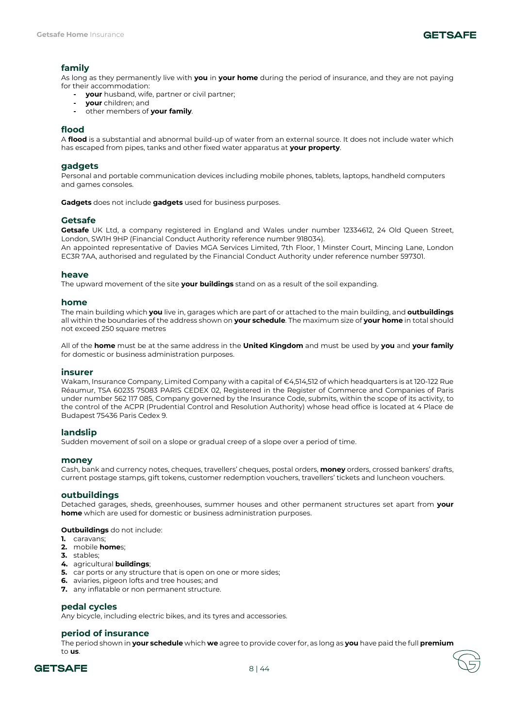

# **family**

As long as they permanently live with **you** in **your home** during the period of insurance, and they are not paying for their accommodation:

- **- your** husband, wife, partner or civil partner;
- **- your** children; and
- **-** other members of **your family**.

# **flood**

A **flood** is a substantial and abnormal build-up of water from an external source. It does not include water which has escaped from pipes, tanks and other fixed water apparatus at **your property**.

# **gadgets**

Personal and portable communication devices including mobile phones, tablets, laptops, handheld computers and games consoles.

**Gadgets** does not include **gadgets** used for business purposes.

# **Getsafe**

**Getsafe** UK Ltd, a company registered in England and Wales under number 12334612, 24 Old Queen Street, London, SW1H 9HP (Financial Conduct Authority reference number 918034).

An appointed representative of Davies MGA Services Limited, 7th Floor, 1 Minster Court, Mincing Lane, London EC3R 7AA, authorised and regulated by the Financial Conduct Authority under reference number 597301.

### **heave**

The upward movement of the site **your buildings** stand on as a result of the soil expanding.

### **home**

The main building which **you** live in, garages which are part of or attached to the main building, and **outbuildings** all within the boundaries of the address shown on **your schedule**. The maximum size of **your home** in total should not exceed 250 square metres

All of the **home** must be at the same address in the **United Kingdom** and must be used by **you** and **your family** for domestic or business administration purposes.

# **insurer**

Wakam, Insurance Company, Limited Company with a capital of €4,514,512 of which headquarters is at 120-122 Rue Réaumur, TSA 60235 75083 PARIS CEDEX 02, Registered in the Register of Commerce and Companies of Paris under number 562 117 085, Company governed by the Insurance Code, submits, within the scope of its activity, to the control of the ACPR (Prudential Control and Resolution Authority) whose head office is located at 4 Place de Budapest 75436 Paris Cedex 9.

# **landslip**

Sudden movement of soil on a slope or gradual creep of a slope over a period of time.

# **money**

Cash, bank and currency notes, cheques, travellers' cheques, postal orders, **money** orders, crossed bankers' drafts, current postage stamps, gift tokens, customer redemption vouchers, travellers' tickets and luncheon vouchers.

# **outbuildings**

Detached garages, sheds, greenhouses, summer houses and other permanent structures set apart from **your home** which are used for domestic or business administration purposes.

**Outbuildings** do not include:

- **1.** caravans;
- **2.** mobile **home**s;
- **3.** stables;
- **4.** agricultural **buildings**;
- **5.** car ports or any structure that is open on one or more sides;
- **6.** aviaries, pigeon lofts and tree houses; and
- **7.** any inflatable or non permanent structure.

### **pedal cycles**

Any bicycle, including electric bikes, and its tyres and accessories.

# **period of insurance**

The period shown in **your schedule** which **we** agree to provide cover for, as long as **you** have paid the full **premium** to **us**.

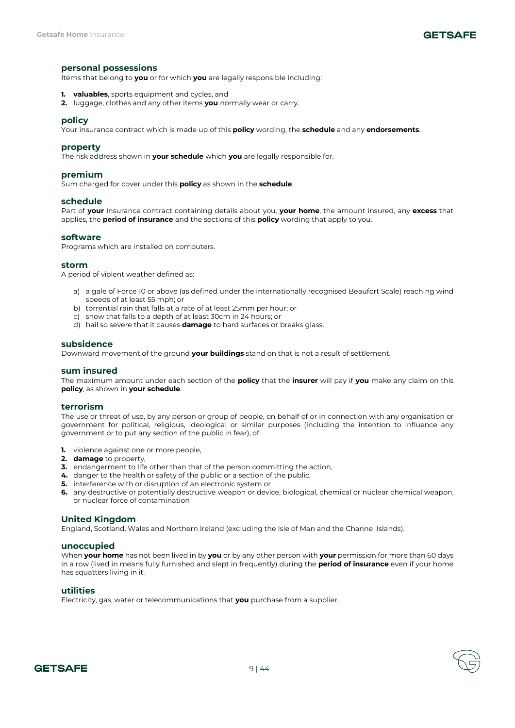# **personal possessions**

Items that belong to **you** or for which **you** are legally responsible including:

- **1. valuables**, sports equipment and cycles, and
- **2.** luggage, clothes and any other items **you** normally wear or carry.

#### **policy**

Your insurance contract which is made up of this **policy** wording, the **schedule** and any **endorsements**.

# **property**

The risk address shown in **your schedule** which **you** are legally responsible for.

### **premium**

Sum charged for cover under this **policy** as shown in the **schedule**.

#### **schedule**

Part of **your** insurance contract containing details about you, **your home**, the amount insured, any **excess** that applies, the **period of insurance** and the sections of this **policy** wording that apply to you.

#### **software**

Programs which are installed on computers.

#### **storm**

A period of violent weather defined as:

- a) a gale of Force 10 or above (as defined under the internationally recognised Beaufort Scale) reaching wind speeds of at least 55 mph; or
- b) torrential rain that falls at a rate of at least 25mm per hour; or
- c) snow that falls to a depth of at least 30cm in 24 hours; or
- d) hail so severe that it causes **damage** to hard surfaces or breaks glass.

### **subsidence**

Downward movement of the ground **your buildings** stand on that is not a result of settlement.

#### **sum insured**

The maximum amount under each section of the **policy** that the **insurer** will pay if **you** make any claim on this **policy**, as shown in **your schedule**.

#### **terrorism**

The use or threat of use, by any person or group of people, on behalf of or in connection with any organisation or government for political, religious, ideological or similar purposes (including the intention to influence any government or to put any section of the public in fear), of:

- **1.** violence against one or more people,
- **2. damage** to property,
- **3.** endangerment to life other than that of the person committing the action,
- **4.** danger to the health or safety of the public or a section of the public,
- **5.** interference with or disruption of an electronic system or
- **6.** any destructive or potentially destructive weapon or device, biological, chemical or nuclear chemical weapon, or nuclear force of contamination

### **United Kingdom**

England, Scotland, Wales and Northern Ireland (excluding the Isle of Man and the Channel Islands).

### **unoccupied**

When **your home** has not been lived in by **you** or by any other person with **your** permission for more than 60 days in a row (lived in means fully furnished and slept in frequently) during the **period of insurance** even if your home has squatters living in it.

### **utilities**

Electricity, gas, water or telecommunications that **you** purchase from a supplier.

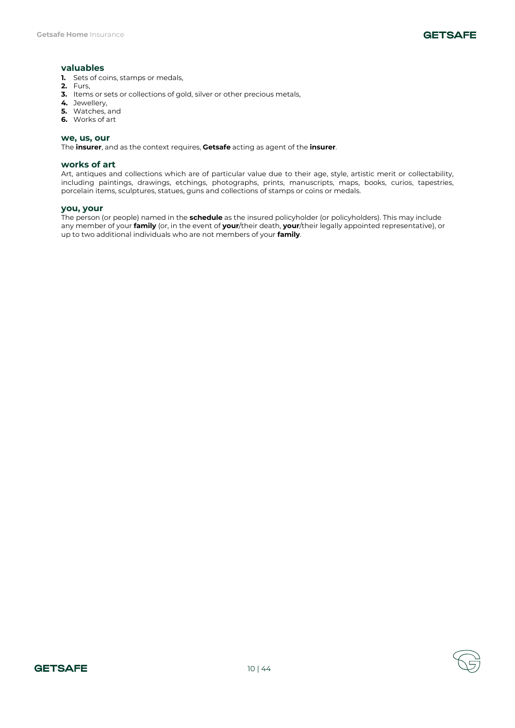# **valuables**

- **1.** Sets of coins, stamps or medals,
- **2.** Furs,
- **3.** Items or sets or collections of gold, silver or other precious metals,
- **4.** Jewellery,
- **5.** Watches, and
- **6.** Works of art

### **we, us, our**

The **insurer**, and as the context requires, **Getsafe** acting as agent of the **insurer**.

# **works of art**

Art, antiques and collections which are of particular value due to their age, style, artistic merit or collectability, including paintings, drawings, etchings, photographs, prints, manuscripts, maps, books, curios, tapestries, porcelain items, sculptures, statues, guns and collections of stamps or coins or medals.

# **you, your**

The person (or people) named in the **schedule** as the insured policyholder (or policyholders). This may include any member of your **family** (or, in the event of **your**/their death, **your**/their legally appointed representative), or up to two additional individuals who are not members of your **family**.

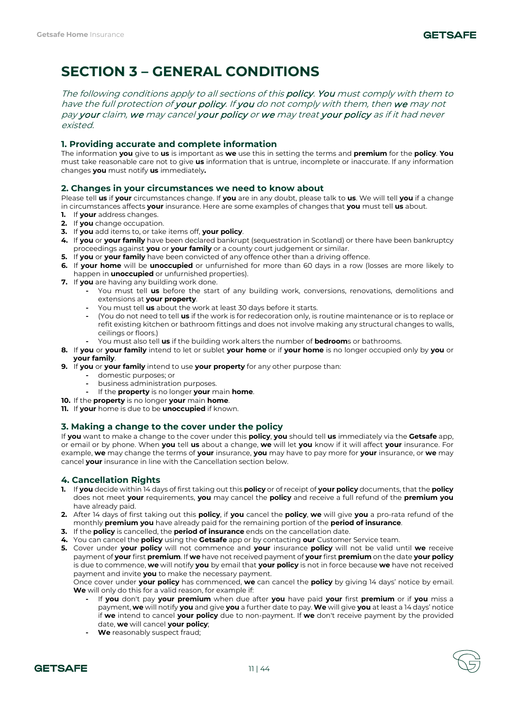# **SECTION 3 – GENERAL CONDITIONS**

The following conditions apply to all sections of this **policy. You** must comply with them to have the full protection of your policy. If you do not comply with them, then we may not pay your claim, we may cancel your policy or we may treat your policy as if it had never existed.

# **1. Providing accurate and complete information**

The information **you** give to **us** is important as **we** use this in setting the terms and **premium** for the **policy**. **You**  must take reasonable care not to give **us** information that is untrue, incomplete or inaccurate. If any information changes **you** must notify **us** immediately**.**

# **2. Changes in your circumstances we need to know about**

Please tell **us** if **your** circumstances change. If **you** are in any doubt, please talk to **us**. We will tell **you** if a change in circumstances affects **your** insurance. Here are some examples of changes that **you** must tell **us** about.

- **1.** If **your** address changes.
- **2.** If **you** change occupation.
- **3.** If **you** add items to, or take items off, **your policy**.
- **4.** If **you** or **your family** have been declared bankrupt (sequestration in Scotland) or there have been bankruptcy proceedings against **you** or **your family** or a county court judgement or similar.
- **5.** If **you** or **your family** have been convicted of any offence other than a driving offence.
- **6.** If **your home** will be **unoccupied** or unfurnished for more than 60 days in a row (losses are more likely to happen in **unoccupied** or unfurnished properties).
- **7.** If **you** are having any building work done.
	- **-** You must tell **us** before the start of any building work, conversions, renovations, demolitions and extensions at **your property**.
	- **-** You must tell **us** about the work at least 30 days before it starts.
	- **-** (You do not need to tell **us** if the work is for redecoration only, is routine maintenance or is to replace or refit existing kitchen or bathroom fittings and does not involve making any structural changes to walls, ceilings or floors.)
	- **-** You must also tell **us** if the building work alters the number of **bedroom**s or bathrooms.
- **8.** If **you** or **your family** intend to let or sublet **your home** or if **your home** is no longer occupied only by **you** or **your family**.
- **9.** If **you** or **your family** intend to use **your property** for any other purpose than:
	- **-** domestic purposes; or
	- **-** business administration purposes.
	- **-** If the **property** is no longer **your** main **home**.
- **10.** If the **property** is no longer **your** main **home**.
- **11.** If **your** home is due to be **unoccupied** if known.

# **3. Making a change to the cover under the policy**

If **you** want to make a change to the cover under this **policy**, **you** should tell **us** immediately via the **Getsafe** app, or email or by phone. When **you** tell **us** about a change, **we** will let **you** know if it will affect **your** insurance. For example, **we** may change the terms of **your** insurance, **you** may have to pay more for **your** insurance, or **we** may cancel **your** insurance in line with the Cancellation section below.

# **4. Cancellation Rights**

- **1.** If **you** decide within 14 days of first taking out this **policy** or of receipt of **your policy** documents, that the **policy** does not meet **your** requirements, **you** may cancel the **policy** and receive a full refund of the **premium you**  have already paid.
- **2.** After 14 days of first taking out this **policy**, if **you** cancel the **policy**, **we** will give **you** a pro-rata refund of the monthly **premium you** have already paid for the remaining portion of the **period of insurance**.
- **3.** If the **policy** is cancelled, the **period of insurance** ends on the cancellation date.
- **4.** You can cancel the **policy** using the **Getsafe** app or by contacting **our** Customer Service team.
- **5.** Cover under **your policy** will not commence and **your** insurance **policy** will not be valid until **we** receive payment of **your** first **premium**. If **we** have not received payment of **your** first **premium** on the date **your policy** is due to commence, **we** will notify **you** by email that **your policy** is not in force because **we** have not received payment and invite **you** to make the necessary payment.

Once cover under **your policy** has commenced, **we** can cancel the **policy** by giving 14 days' notice by email. **We** will only do this for a valid reason, for example if:

- **-** If **you** don't pay **your premium** when due after **you** have paid **your** first **premium** or if **you** miss a payment, **we** will notify **you** and give **you** a further date to pay. **We** will give **you** at least a 14 days' notice if **we** intend to cancel **your policy** due to non-payment. If **we** don't receive payment by the provided date, **we** will cancel **your policy**;
- **- We** reasonably suspect fraud;

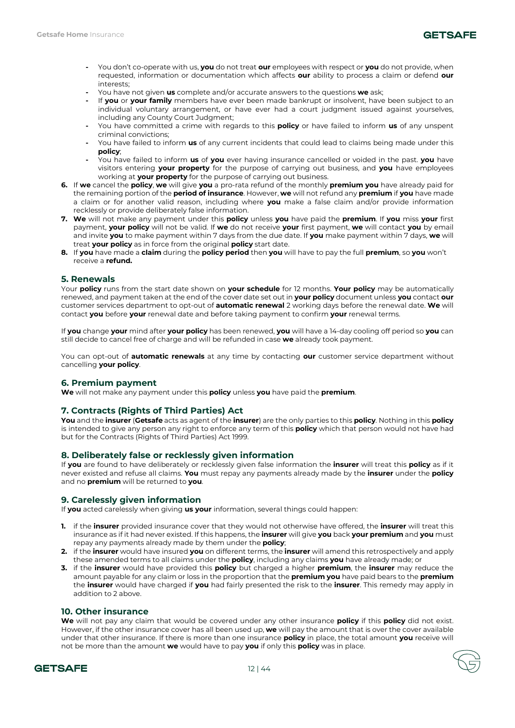

- **-** You don't co-operate with us, **you** do not treat **our** employees with respect or **you** do not provide, when requested, information or documentation which affects **our** ability to process a claim or defend **our**  interests;
- **-** You have not given **us** complete and/or accurate answers to the questions **we** ask;
- **-** If **you** or **your family** members have ever been made bankrupt or insolvent, have been subject to an individual voluntary arrangement, or have ever had a court judgment issued against yourselves, including any County Court Judgment;
- **-** You have committed a crime with regards to this **policy** or have failed to inform **us** of any unspent criminal convictions;
- **-** You have failed to inform **us** of any current incidents that could lead to claims being made under this **policy**;
- **-** You have failed to inform **us** of **you** ever having insurance cancelled or voided in the past. **you** have visitors entering **your property** for the purpose of carrying out business, and **you** have employees working at **your property** for the purpose of carrying out business.
- **6.** If **we** cancel the **policy**, **we** will give **you** a pro-rata refund of the monthly **premium you** have already paid for the remaining portion of the **period of insurance**. However, **we** will not refund any **premium** if **you** have made a claim or for another valid reason, including where **you** make a false claim and/or provide information recklessly or provide deliberately false information.
- **7. We** will not make any payment under this **policy** unless **you** have paid the **premium**. If **you** miss **your** first payment, **your policy** will not be valid. If **we** do not receive **your** first payment, **we** will contact **you** by email and invite **you** to make payment within 7 days from the due date. If **you** make payment within 7 days, **we** will treat **your policy** as in force from the original **policy** start date.
- **8.** If **you** have made a **claim** during the **policy period** then **you** will have to pay the full **premium**, so **you** won't receive a **refund.**

# **5. Renewals**

Your **policy** runs from the start date shown on **your schedule** for 12 months. **Your policy** may be automatically renewed, and payment taken at the end of the cover date set out in **your policy** document unless **you** contact **our**  customer services department to opt-out of **automatic renewal** 2 working days before the renewal date. **We** will contact **you** before **your** renewal date and before taking payment to confirm **your** renewal terms.

If **you** change **your** mind after **your policy** has been renewed, **you** will have a 14-day cooling off period so **you** can still decide to cancel free of charge and will be refunded in case **we** already took payment.

You can opt-out of **automatic renewals** at any time by contacting **our** customer service department without cancelling **your policy**.

# **6. Premium payment**

**We** will not make any payment under this **policy** unless **you** have paid the **premium**.

# **7. Contracts (Rights of Third Parties) Act**

**You** and the **insurer** (**Getsafe** acts as agent of the **insurer**) are the only parties to this **policy**. Nothing in this **policy** is intended to give any person any right to enforce any term of this **policy** which that person would not have had but for the Contracts (Rights of Third Parties) Act 1999.

# **8. Deliberately false or recklessly given information**

If **you** are found to have deliberately or recklessly given false information the **insurer** will treat this **policy** as if it never existed and refuse all claims. **You** must repay any payments already made by the **insurer** under the **policy** and no **premium** will be returned to **you**.

# **9. Carelessly given information**

If **you** acted carelessly when giving **us your** information, several things could happen:

- **1.** if the **insurer** provided insurance cover that they would not otherwise have offered, the **insurer** will treat this insurance as if it had never existed. If this happens, the **insurer** will give **you** back **your premium** and **you** must repay any payments already made by them under the **policy**;
- **2.** if the **insurer** would have insured **you** on different terms, the **insurer** will amend this retrospectively and apply these amended terms to all claims under the **policy**, including any claims **you** have already made; or
- **3.** if the **insurer** would have provided this **policy** but charged a higher **premium**, the **insurer** may reduce the amount payable for any claim or loss in the proportion that the **premium you** have paid bears to the **premium** the **insurer** would have charged if **you** had fairly presented the risk to the **insurer**. This remedy may apply in addition to 2 above.

# **10. Other insurance**

**We** will not pay any claim that would be covered under any other insurance **policy** if this **policy** did not exist. However, if the other insurance cover has all been used up, **we** will pay the amount that is over the cover available under that other insurance. If there is more than one insurance **policy** in place, the total amount **you** receive will not be more than the amount **we** would have to pay **you** if only this **policy** was in place.

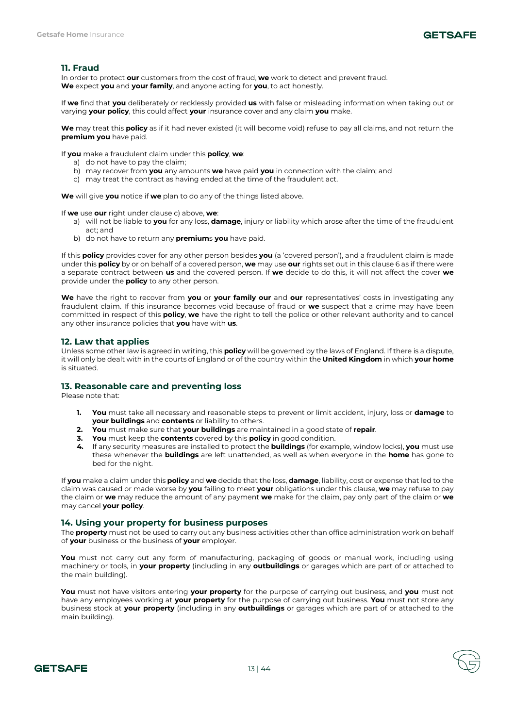

# **11. Fraud**

In order to protect **our** customers from the cost of fraud, **we** work to detect and prevent fraud. **We** expect **you** and **your family**, and anyone acting for **you**, to act honestly.

If **we** find that **you** deliberately or recklessly provided **us** with false or misleading information when taking out or varying **your policy**, this could affect **your** insurance cover and any claim **you** make.

**We** may treat this **policy** as if it had never existed (it will become void) refuse to pay all claims, and not return the **premium you** have paid.

If **you** make a fraudulent claim under this **policy**, **we**:

- a) do not have to pay the claim;
- b) may recover from **you** any amounts **we** have paid **you** in connection with the claim; and
- c) may treat the contract as having ended at the time of the fraudulent act.

**We** will give **you** notice if **we** plan to do any of the things listed above.

If **we** use **our** right under clause c) above, **we**:

- a) will not be liable to **you** for any loss, **damage**, injury or liability which arose after the time of the fraudulent act; and
- b) do not have to return any **premium**s **you** have paid.

If this **policy** provides cover for any other person besides **you** (a 'covered person'), and a fraudulent claim is made under this **policy** by or on behalf of a covered person, **we** may use **our** rights set out in this clause 6 as if there were a separate contract between **us** and the covered person. If **we** decide to do this, it will not affect the cover **we** provide under the **policy** to any other person.

**We** have the right to recover from **you** or **your family our** and **our** representatives' costs in investigating any fraudulent claim. If this insurance becomes void because of fraud or **we** suspect that a crime may have been committed in respect of this **policy**, **we** have the right to tell the police or other relevant authority and to cancel any other insurance policies that **you** have with **us**.

# **12. Law that applies**

Unless some other law is agreed in writing, this **policy** will be governed by the laws of England. If there is a dispute, it will only be dealt with in the courts of England or of the country within the **United Kingdom** in which **your home** is situated.

# **13. Reasonable care and preventing loss**

Please note that:

- **1. You** must take all necessary and reasonable steps to prevent or limit accident, injury, loss or **damage** to **your buildings** and **contents** or liability to others.
- **2. You** must make sure that **your buildings** are maintained in a good state of **repair**.
- **3. You** must keep the **contents** covered by this **policy** in good condition.
- **4.** If any security measures are installed to protect the **buildings** (for example, window locks), **you** must use these whenever the **buildings** are left unattended, as well as when everyone in the **home** has gone to bed for the night.

If **you** make a claim under this **policy** and **we** decide that the loss, **damage**, liability, cost or expense that led to the claim was caused or made worse by **you** failing to meet **your** obligations under this clause, **we** may refuse to pay the claim or **we** may reduce the amount of any payment **we** make for the claim, pay only part of the claim or **we** may cancel **your policy**.

# **14. Using your property for business purposes**

The **property** must not be used to carry out any business activities other than office administration work on behalf of **your** business or the business of **your** employer.

You must not carry out any form of manufacturing, packaging of goods or manual work, including using machinery or tools, in **your property** (including in any **outbuildings** or garages which are part of or attached to the main building).

**You** must not have visitors entering **your property** for the purpose of carrying out business, and **you** must not have any employees working at **your property** for the purpose of carrying out business. **You** must not store any business stock at **your property** (including in any **outbuildings** or garages which are part of or attached to the main building).

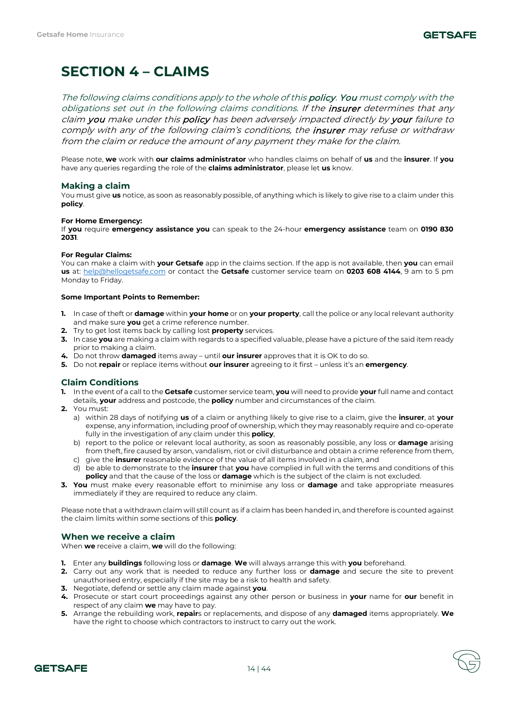# **SECTION 4 – CLAIMS**

The following claims conditions apply to the whole of this **policy. You** must comply with the obligations set out in the following claims conditions. If the *insurer* determines that any claim you make under this policy has been adversely impacted directly by your failure to comply with any of the following claim's conditions, the *insurer* may refuse or withdraw from the claim or reduce the amount of any payment they make for the claim.

Please note, **we** work with **our claims administrator** who handles claims on behalf of **us** and the **insurer**. If **you**  have any queries regarding the role of the **claims administrator**, please let **us** know.

# **Making a claim**

You must give **us** notice, as soon as reasonably possible, of anything which is likely to give rise to a claim under this **policy**.

### **For Home Emergency:**

If **you** require **emergency assistance you** can speak to the 24-hour **emergency assistance** team on **0190 830 2031**.

### **For Regular Claims:**

You can make a claim with **your Getsafe** app in the claims section. If the app is not available, then **you** can email **us** at: [help@hellogetsafe.com](mailto:help@hellogetsafe.com) or contact the **Getsafe** customer service team on **0203 608 4144**, 9 am to 5 pm Monday to Friday.

# **Some Important Points to Remember:**

- **1.** In case of theft or **damage** within **your home** or on **your property**, call the police or any local relevant authority and make sure **you** get a crime reference number.
- **2.** Try to get lost items back by calling lost **property** services.
- **3.** In case **you** are making a claim with regards to a specified valuable, please have a picture of the said item ready prior to making a claim.
- **4.** Do not throw **damaged** items away until **our insurer** approves that it is OK to do so.
- **5.** Do not **repair** or replace items without **our insurer** agreeing to it first unless it's an **emergency**.

# **Claim Conditions**

- **1.** In the event of a call to the **Getsafe** customer service team, **you** will need to provide **your** full name and contact details, **your** address and postcode, the **policy** number and circumstances of the claim.
- **2.** You must:
	- a) within 28 days of notifying **us** of a claim or anything likely to give rise to a claim, give the **insurer**, at **your**  expense, any information, including proof of ownership, which they may reasonably require and co-operate fully in the investigation of any claim under this **policy**,
	- b) report to the police or relevant local authority, as soon as reasonably possible, any loss or **damage** arising from theft, fire caused by arson, vandalism, riot or civil disturbance and obtain a crime reference from them,
	- c) give the **insurer** reasonable evidence of the value of all items involved in a claim, and d) be able to demonstrate to the **insurer** that **you** have complied in full with the terms and conditions of this **policy** and that the cause of the loss or **damage** which is the subject of the claim is not excluded.
- **3. You** must make every reasonable effort to minimise any loss or **damage** and take appropriate measures immediately if they are required to reduce any claim.

Please note that a withdrawn claim will still count as if a claim has been handed in, and therefore is counted against the claim limits within some sections of this **policy**.

# **When we receive a claim**

When **we** receive a claim, **we** will do the following:

- **1.** Enter any **buildings** following loss or **damage**. **We** will always arrange this with **you** beforehand.
- **2.** Carry out any work that is needed to reduce any further loss or **damage** and secure the site to prevent unauthorised entry, especially if the site may be a risk to health and safety.
- **3.** Negotiate, defend or settle any claim made against **you**.
- **4.** Prosecute or start court proceedings against any other person or business in **your** name for **our** benefit in respect of any claim **we** may have to pay.
- **5.** Arrange the rebuilding work, **repair**s or replacements, and dispose of any **damaged** items appropriately. **We** have the right to choose which contractors to instruct to carry out the work.

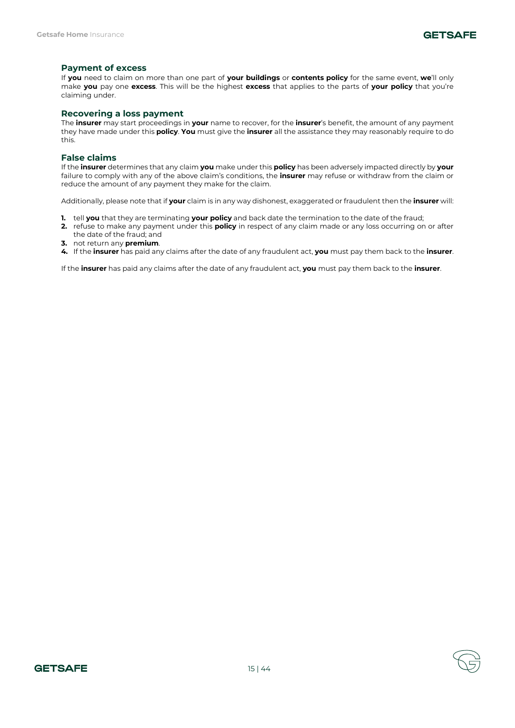# **Payment of excess**

If **you** need to claim on more than one part of **your buildings** or **contents policy** for the same event, **we**'ll only make **you** pay one **excess**. This will be the highest **excess** that applies to the parts of **your policy** that you're claiming under.

# **Recovering a loss payment**

The **insurer** may start proceedings in **your** name to recover, for the **insurer**'s benefit, the amount of any payment they have made under this **policy**. **You** must give the **insurer** all the assistance they may reasonably require to do this.

# **False claims**

If the **insurer** determines that any claim **you** make under this **policy** has been adversely impacted directly by **your**  failure to comply with any of the above claim's conditions, the **insurer** may refuse or withdraw from the claim or reduce the amount of any payment they make for the claim.

Additionally, please note that if **your** claim is in any way dishonest, exaggerated or fraudulent then the **insurer** will:

- **1.** tell **you** that they are terminating **your policy** and back date the termination to the date of the fraud;
- **2.** refuse to make any payment under this **policy** in respect of any claim made or any loss occurring on or after the date of the fraud; and
- **3.** not return any **premium**.
- **4.** If the **insurer** has paid any claims after the date of any fraudulent act, **you** must pay them back to the **insurer**.

If the **insurer** has paid any claims after the date of any fraudulent act, **you** must pay them back to the **insurer**.

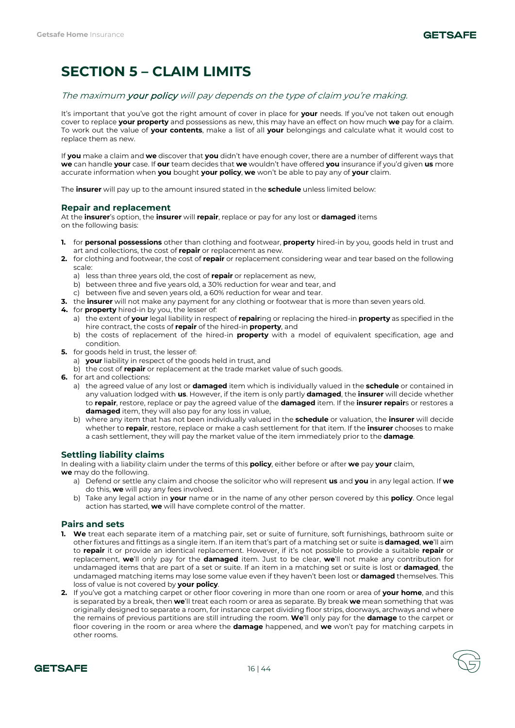# **SECTION 5 – CLAIM LIMITS**

# The maximum your policy will pay depends on the type of claim you're making.

It's important that you've got the right amount of cover in place for **your** needs. If you've not taken out enough cover to replace **your property** and possessions as new, this may have an effect on how much **we** pay for a claim. To work out the value of **your contents**, make a list of all **your** belongings and calculate what it would cost to replace them as new.

If **you** make a claim and **we** discover that **you** didn't have enough cover, there are a number of different ways that **we** can handle **your** case. If **our** team decides that **we** wouldn't have offered **you** insurance if you'd given **us** more accurate information when **you** bought **your policy**, **we** won't be able to pay any of **your** claim.

The **insurer** will pay up to the amount insured stated in the **schedule** unless limited below:

# **Repair and replacement**

At the **insurer**'s option, the **insurer** will **repair**, replace or pay for any lost or **damaged** items on the following basis:

- **1.** for **personal possessions** other than clothing and footwear, **property** hired-in by you, goods held in trust and art and collections, the cost of **repair** or replacement as new.
- **2.** for clothing and footwear, the cost of **repair** or replacement considering wear and tear based on the following scale:
	- a) less than three years old, the cost of **repair** or replacement as new,
	- b) between three and five years old, a 30% reduction for wear and tear, and
	- c) between five and seven years old, a 60% reduction for wear and tear.
- **3.** the **insurer** will not make any payment for any clothing or footwear that is more than seven years old.
- **4.** for **property** hired-in by you, the lesser of:
	- a) the extent of **your** legal liability in respect of **repair**ing or replacing the hired-in **property** as specified in the hire contract, the costs of **repair** of the hired-in **property**, and
	- b) the costs of replacement of the hired-in **property** with a model of equivalent specification, age and condition.
- **5.** for goods held in trust, the lesser of:
	- a) **your** liability in respect of the goods held in trust, and
	- b) the cost of **repair** or replacement at the trade market value of such goods.
- **6.** for art and collections:
	- a) the agreed value of any lost or **damaged** item which is individually valued in the **schedule** or contained in any valuation lodged with **us**. However, if the item is only partly **damaged**, the **insurer** will decide whether to **repair**, restore, replace or pay the agreed value of the **damaged** item. If the **insurer repair**s or restores a **damaged** item, they will also pay for any loss in value,
	- b) where any item that has not been individually valued in the **schedule** or valuation, the **insurer** will decide whether to **repair**, restore, replace or make a cash settlement for that item. If the **insurer** chooses to make a cash settlement, they will pay the market value of the item immediately prior to the **damage**.

# **Settling liability claims**

In dealing with a liability claim under the terms of this **policy**, either before or after **we** pay **your** claim,

- **we** may do the following.
	- a) Defend or settle any claim and choose the solicitor who will represent **us** and **you** in any legal action. If **we** do this, **we** will pay any fees involved.
	- b) Take any legal action in **your** name or in the name of any other person covered by this **policy**. Once legal action has started, **we** will have complete control of the matter.

# **Pairs and sets**

- **1. We** treat each separate item of a matching pair, set or suite of furniture, soft furnishings, bathroom suite or other fixtures and fittings as a single item. If an item that's part of a matching set or suite is **damaged**, **we**'ll aim to **repair** it or provide an identical replacement. However, if it's not possible to provide a suitable **repair** or replacement, **we**'ll only pay for the **damaged** item. Just to be clear, **we**'ll not make any contribution for undamaged items that are part of a set or suite. If an item in a matching set or suite is lost or **damaged**, the undamaged matching items may lose some value even if they haven't been lost or **damaged** themselves. This loss of value is not covered by **your policy**.
- **2.** If you've got a matching carpet or other floor covering in more than one room or area of **your home**, and this is separated by a break, then **we**'ll treat each room or area as separate. By break **we** mean something that was originally designed to separate a room, for instance carpet dividing floor strips, doorways, archways and where the remains of previous partitions are still intruding the room. **We**'ll only pay for the **damage** to the carpet or floor covering in the room or area where the **damage** happened, and **we** won't pay for matching carpets in other rooms.

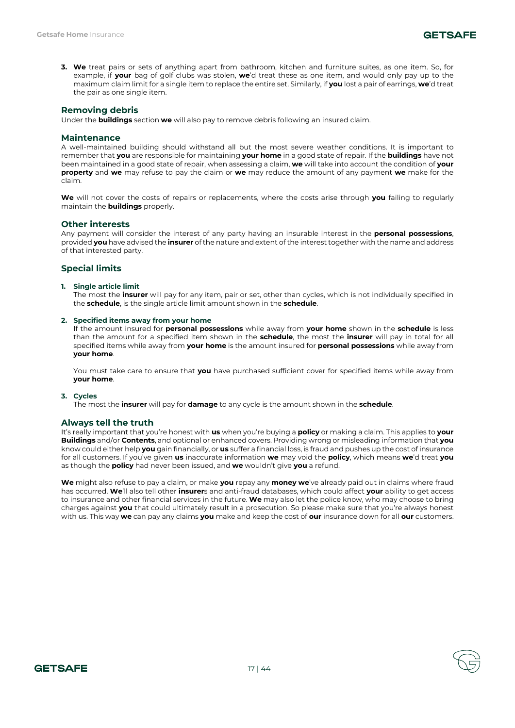**3. We** treat pairs or sets of anything apart from bathroom, kitchen and furniture suites, as one item. So, for example, if **your** bag of golf clubs was stolen, **we**'d treat these as one item, and would only pay up to the maximum claim limit for a single item to replace the entire set. Similarly, if **you** lost a pair of earrings, **we**'d treat the pair as one single item.

# **Removing debris**

Under the **buildings** section **we** will also pay to remove debris following an insured claim.

### **Maintenance**

A well-maintained building should withstand all but the most severe weather conditions. It is important to remember that **you** are responsible for maintaining **your home** in a good state of repair. If the **buildings** have not been maintained in a good state of repair, when assessing a claim, **we** will take into account the condition of **your property** and **we** may refuse to pay the claim or **we** may reduce the amount of any payment **we** make for the claim.

**We** will not cover the costs of repairs or replacements, where the costs arise through **you** failing to regularly maintain the **buildings** properly.

# **Other interests**

Any payment will consider the interest of any party having an insurable interest in the **personal possessions**, provided **you** have advised the **insurer** of the nature and extent of the interest together with the name and address of that interested party.

# **Special limits**

#### **1. Single article limit**

The most the **insurer** will pay for any item, pair or set, other than cycles, which is not individually specified in the **schedule**, is the single article limit amount shown in the **schedule**.

#### **2. Specified items away from your home**

If the amount insured for **personal possessions** while away from **your home** shown in the **schedule** is less than the amount for a specified item shown in the **schedule**, the most the **insurer** will pay in total for all specified items while away from **your home** is the amount insured for **personal possessions** while away from **your home**.

You must take care to ensure that **you** have purchased sufficient cover for specified items while away from **your home**.

#### **3. Cycles**

The most the **insurer** will pay for **damage** to any cycle is the amount shown in the **schedule**.

#### **Always tell the truth**

It's really important that you're honest with **us** when you're buying a **policy** or making a claim. This applies to **your Buildings** and/or **Contents**, and optional or enhanced covers. Providing wrong or misleading information that **you**  know could either help **you** gain financially, or **us** suffer a financial loss, is fraud and pushes up the cost of insurance for all customers. If you've given **us** inaccurate information **we** may void the **policy**, which means **we**'d treat **you**  as though the **policy** had never been issued, and **we** wouldn't give **you** a refund.

**We** might also refuse to pay a claim, or make **you** repay any **money we**'ve already paid out in claims where fraud has occurred. **We**'ll also tell other **insurer**s and anti-fraud databases, which could affect **your** ability to get access to insurance and other financial services in the future. **We** may also let the police know, who may choose to bring charges against **you** that could ultimately result in a prosecution. So please make sure that you're always honest with us. This way **we** can pay any claims **you** make and keep the cost of **our** insurance down for all **our** customers.

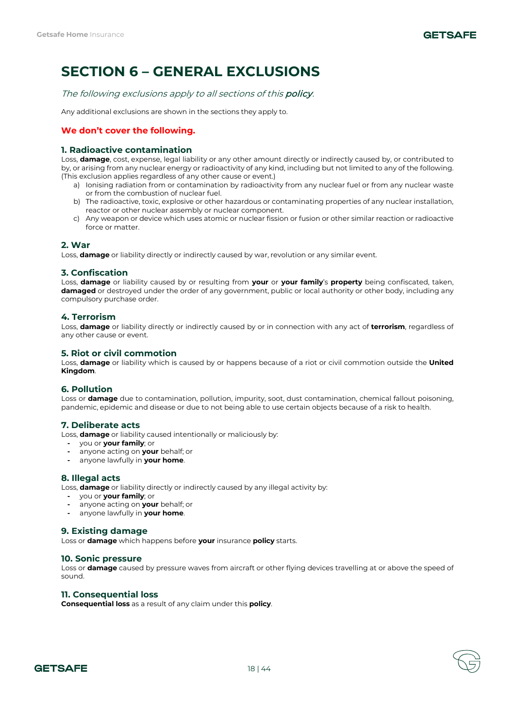# **SECTION 6 – GENERAL EXCLUSIONS**

The following exclusions apply to all sections of this **policy**.

Any additional exclusions are shown in the sections they apply to.

# **We don't cover the following.**

# **1. Radioactive contamination**

Loss, **damage**, cost, expense, legal liability or any other amount directly or indirectly caused by, or contributed to by, or arising from any nuclear energy or radioactivity of any kind, including but not limited to any of the following. (This exclusion applies regardless of any other cause or event.)

- a) Ionising radiation from or contamination by radioactivity from any nuclear fuel or from any nuclear waste or from the combustion of nuclear fuel.
- b) The radioactive, toxic, explosive or other hazardous or contaminating properties of any nuclear installation, reactor or other nuclear assembly or nuclear component.
- c) Any weapon or device which uses atomic or nuclear fission or fusion or other similar reaction or radioactive force or matter.

# **2. War**

Loss, **damage** or liability directly or indirectly caused by war, revolution or any similar event.

# **3. Confiscation**

Loss, **damage** or liability caused by or resulting from **your** or **your family**'s **property** being confiscated, taken, **damaged** or destroyed under the order of any government, public or local authority or other body, including any compulsory purchase order.

# **4. Terrorism**

Loss, **damage** or liability directly or indirectly caused by or in connection with any act of **terrorism**, regardless of any other cause or event.

# **5. Riot or civil commotion**

Loss, **damage** or liability which is caused by or happens because of a riot or civil commotion outside the **United Kingdom**.

# **6. Pollution**

Loss or **damage** due to contamination, pollution, impurity, soot, dust contamination, chemical fallout poisoning, pandemic, epidemic and disease or due to not being able to use certain objects because of a risk to health.

# **7. Deliberate acts**

Loss, **damage** or liability caused intentionally or maliciously by:

- **-** you or **your family**; or
- **-** anyone acting on **your** behalf; or
- **-** anyone lawfully in **your home**.

# **8. Illegal acts**

Loss, **damage** or liability directly or indirectly caused by any illegal activity by:

- **-** you or **your family**; or
- **-** anyone acting on **your** behalf; or
- **-** anyone lawfully in **your home**.

# **9. Existing damage**

Loss or **damage** which happens before **your** insurance **policy** starts.

# **10. Sonic pressure**

Loss or **damage** caused by pressure waves from aircraft or other flying devices travelling at or above the speed of sound.

# **11. Consequential loss**

**Consequential loss** as a result of any claim under this **policy**.



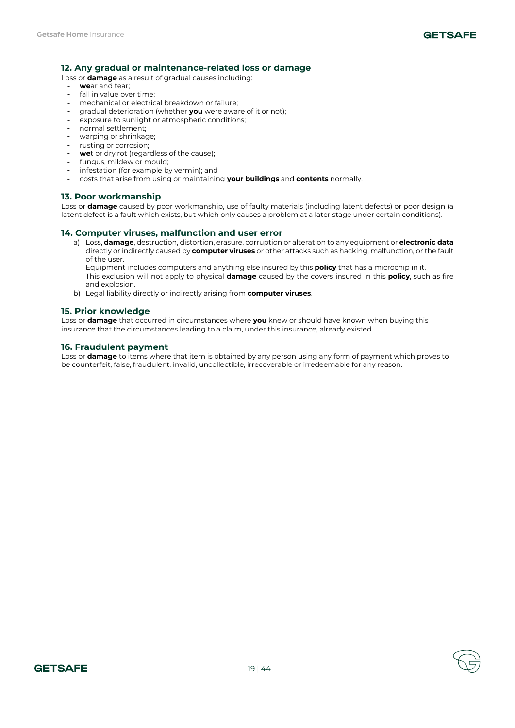# **12. Any gradual or maintenance-related loss or damage**

Loss or **damage** as a result of gradual causes including:

- **- we**ar and tear;
- **-** fall in value over time;
- **-** mechanical or electrical breakdown or failure;
- **-** gradual deterioration (whether **you** were aware of it or not);
- **-** exposure to sunlight or atmospheric conditions;
- **-** normal settlement;
- **-** warping or shrinkage;
- **-** rusting or corrosion; **- we**t or dry rot (regardless of the cause);
- **-** fungus, mildew or mould;
- **-** infestation (for example by vermin); and
- **-** costs that arise from using or maintaining **your buildings** and **contents** normally.

# **13. Poor workmanship**

Loss or **damage** caused by poor workmanship, use of faulty materials (including latent defects) or poor design (a latent defect is a fault which exists, but which only causes a problem at a later stage under certain conditions).

# **14. Computer viruses, malfunction and user error**

a) Loss, **damage**, destruction, distortion, erasure, corruption or alteration to any equipment or **electronic data**  directly or indirectly caused by **computer viruses** or other attacks such as hacking, malfunction, or the fault of the user.

Equipment includes computers and anything else insured by this **policy** that has a microchip in it. This exclusion will not apply to physical **damage** caused by the covers insured in this **policy**, such as fire and explosion.

b) Legal liability directly or indirectly arising from **computer viruses**.

# **15. Prior knowledge**

Loss or **damage** that occurred in circumstances where **you** knew or should have known when buying this insurance that the circumstances leading to a claim, under this insurance, already existed.

# **16. Fraudulent payment**

Loss or **damage** to items where that item is obtained by any person using any form of payment which proves to be counterfeit, false, fraudulent, invalid, uncollectible, irrecoverable or irredeemable for any reason.

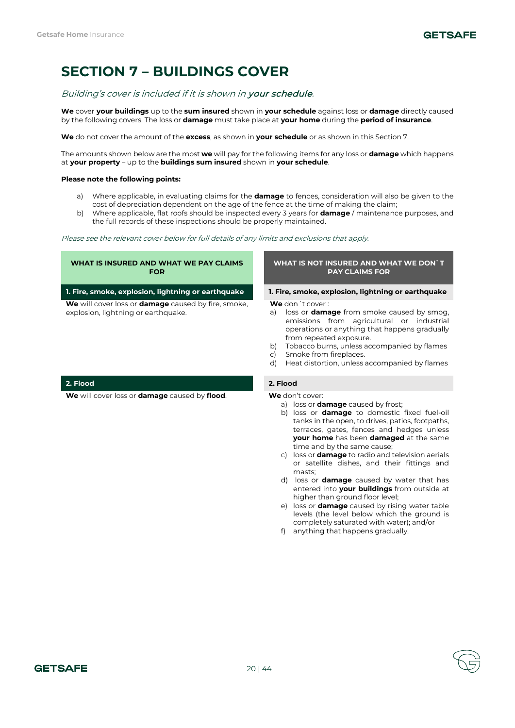# **SECTION 7 – BUILDINGS COVER**

# Building's cover is included if it is shown in your schedule.

**We** cover **your buildings** up to the **sum insured** shown in **your schedule** against loss or **damage** directly caused by the following covers. The loss or **damage** must take place at **your home** during the **period of insurance**.

**We** do not cover the amount of the **excess**, as shown in **your schedule** or as shown in this Section 7.

The amounts shown below are the most **we** will pay for the following items for any loss or **damage** which happens at **your property** – up to the **buildings sum insured** shown in **your schedule**.

### **Please note the following points:**

- a) Where applicable, in evaluating claims for the **damage** to fences, consideration will also be given to the cost of depreciation dependent on the age of the fence at the time of making the claim;
- b) Where applicable, flat roofs should be inspected every 3 years for **damage** / maintenance purposes, and the full records of these inspections should be properly maintained.

Please see the relevant cover below for full details of any limits and exclusions that apply.

### **WHAT IS INSURED AND WHAT WE PAY CLAIMS FOR**

**1. Fire, smoke, explosion, lightning or earthquake 1. Fire, smoke, explosion, lightning or earthquake**

**We** will cover loss or **damage** caused by fire, smoke, explosion, lightning or earthquake.

### **WHAT IS NOT INSURED AND WHAT WE DON`T PAY CLAIMS FOR**

**We** don´t cover :

- a) loss or **damage** from smoke caused by smog, emissions from agricultural or industrial operations or anything that happens gradually from repeated exposure.
- b) Tobacco burns, unless accompanied by flames
- c) Smoke from fireplaces.
- d) Heat distortion, unless accompanied by flames

- a) loss or **damage** caused by frost;
- b) loss or **damage** to domestic fixed fuel-oil tanks in the open, to drives, patios, footpaths, terraces, gates, fences and hedges unless **your home** has been **damaged** at the same time and by the same cause;
- c) loss or **damage** to radio and television aerials or satellite dishes, and their fittings and masts;
- d) loss or **damage** caused by water that has entered into **your buildings** from outside at higher than ground floor level;
- e) loss or **damage** caused by rising water table levels (the level below which the ground is completely saturated with water); and/or
- f) anything that happens gradually.

# **2. Flood 2. Flood**

**We** will cover loss or **damage** caused by **flood**. **We** don't cover: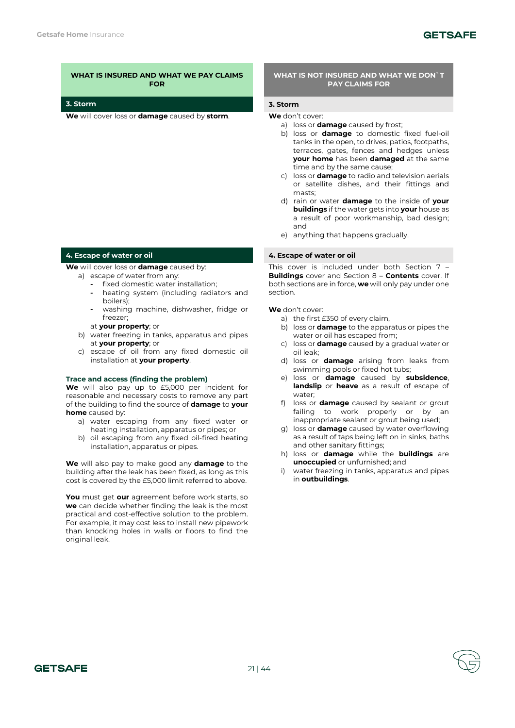**We** will cover loss or **damage** caused by **storm**. **We** don't cover:

# **4. Escape of water or oil 4. Escape of water or oil**

**We** will cover loss or **damage** caused by:

- a) escape of water from any:
	- **-** fixed domestic water installation;
	- **-** heating system (including radiators and boilers);
	- **-** washing machine, dishwasher, fridge or freezer;
	- at **your property**; or
- b) water freezing in tanks, apparatus and pipes at **your property**; or
- c) escape of oil from any fixed domestic oil installation at **your property**.

#### **Trace and access (finding the problem)**

**We** will also pay up to £5,000 per incident for reasonable and necessary costs to remove any part of the building to find the source of **damage** to **your home** caused by:

- a) water escaping from any fixed water or heating installation, apparatus or pipes; or
- b) oil escaping from any fixed oil-fired heating installation, apparatus or pipes.

**We** will also pay to make good any **damage** to the building after the leak has been fixed, as long as this cost is covered by the £5,000 limit referred to above.

**You** must get **our** agreement before work starts, so **we** can decide whether finding the leak is the most practical and cost-effective solution to the problem. For example, it may cost less to install new pipework than knocking holes in walls or floors to find the original leak.

# **WHAT IS NOT INSURED AND WHAT WE DON`T PAY CLAIMS FOR**

### **3. Storm 3. Storm**

- a) loss or **damage** caused by frost;
- b) loss or **damage** to domestic fixed fuel-oil tanks in the open, to drives, patios, footpaths, terraces, gates, fences and hedges unless **your home** has been **damaged** at the same time and by the same cause;
- c) loss or **damage** to radio and television aerials or satellite dishes, and their fittings and masts;
- d) rain or water **damage** to the inside of **your buildings** if the water gets into **your** house as a result of poor workmanship, bad design; and
- e) anything that happens gradually.

This cover is included under both Section 7 – **Buildings** cover and Section 8 – **Contents** cover. If both sections are in force, **we** will only pay under one section.

- a) the first £350 of every claim,
- b) loss or **damage** to the apparatus or pipes the water or oil has escaped from;
- c) loss or **damage** caused by a gradual water or oil leak;
- d) loss or **damage** arising from leaks from swimming pools or fixed hot tubs;
- e) loss or **damage** caused by **subsidence**, **landslip** or **heave** as a result of escape of water;
- f) loss or **damage** caused by sealant or grout failing to work properly or by an inappropriate sealant or grout being used;
- g) loss or **damage** caused by water overflowing as a result of taps being left on in sinks, baths and other sanitary fittings;
- h) loss or **damage** while the **buildings** are **unoccupied** or unfurnished; and
- water freezing in tanks, apparatus and pipes in **outbuildings**.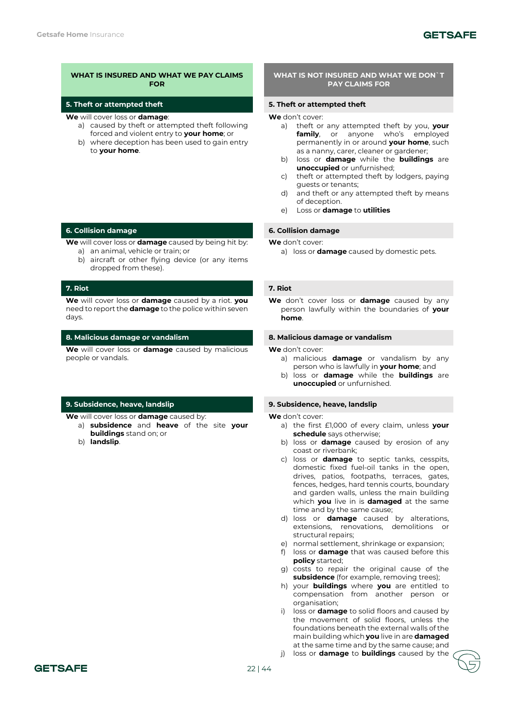# **5. Theft or attempted theft 5. Theft or attempted theft**

- **We** will cover loss or **damage**:
	- a) caused by theft or attempted theft following forced and violent entry to **your home**; or
	- b) where deception has been used to gain entry to **your home**.

# **6. Collision damage 6. Collision damage**

**We** will cover loss or **damage** caused by being hit by: a) an animal, vehicle or train; or

b) aircraft or other flying device (or any items dropped from these).

# **7. Riot 7. Riot**

**We** will cover loss or **damage** caused by a riot. **you**  need to report the **damage** to the police within seven days.

### **8. Malicious damage or vandalism 8. Malicious damage or vandalism**

**We** will cover loss or **damage** caused by malicious people or vandals.

# **9. Subsidence, heave, landslip 9. Subsidence, heave, landslip**

**We** will cover loss or **damage** caused by:

- a) **subsidence** and **heave** of the site **your buildings** stand on; or
- b) **landslip**.

# **WHAT IS NOT INSURED AND WHAT WE DON`T PAY CLAIMS FOR**

**We** don't cover:

- a) theft or any attempted theft by you, **your family**, or anyone who's employed permanently in or around **your home**, such as a nanny, carer, cleaner or gardener;
- b) loss or **damage** while the **buildings** are **unoccupied** or unfurnished;
- c) theft or attempted theft by lodgers, paying guests or tenants;
- d) and theft or any attempted theft by means of deception.
- e) Loss or **damage** to **utilities**

#### **We** don't cover:

a) loss or **damage** caused by domestic pets.

**We** don't cover loss or **damage** caused by any person lawfully within the boundaries of **your home**.

**We** don't cover:

- a) malicious **damage** or vandalism by any person who is lawfully in **your home**; and
- b) loss or **damage** while the **buildings** are **unoccupied** or unfurnished.

- a) the first £1,000 of every claim, unless **your schedule** says otherwise;
- b) loss or **damage** caused by erosion of any coast or riverbank;
- c) loss or **damage** to septic tanks, cesspits, domestic fixed fuel-oil tanks in the open, drives, patios, footpaths, terraces, gates, fences, hedges, hard tennis courts, boundary and garden walls, unless the main building which **you** live in is **damaged** at the same time and by the same cause;
- d) loss or **damage** caused by alterations, extensions, renovations, demolitions or structural repairs;
- e) normal settlement, shrinkage or expansion;
- f) loss or **damage** that was caused before this **policy** started;
- g) costs to repair the original cause of the **subsidence** (for example, removing trees);
- h) your **buildings** where **you** are entitled to compensation from another person or organisation;
- i) loss or **damage** to solid floors and caused by the movement of solid floors, unless the foundations beneath the external walls of the main building which **you** live in are **damaged** at the same time and by the same cause; and
- j) loss or **damage** to **buildings** caused by the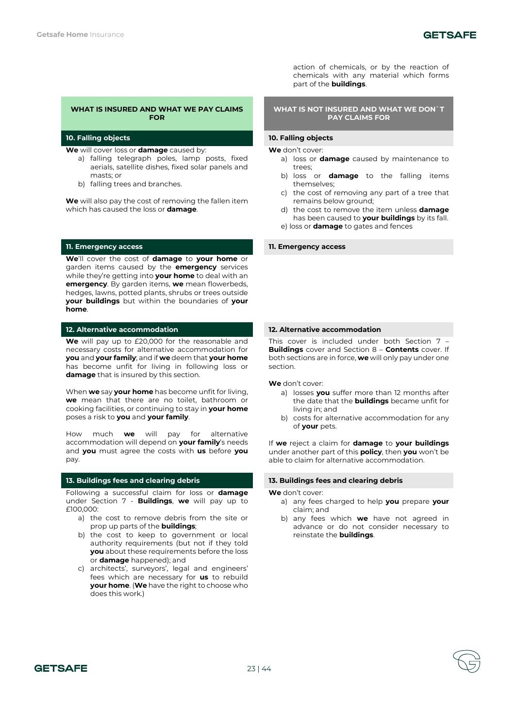# **10. Falling objects 10. Falling objects**

**We** will cover loss or **damage** caused by:

- a) falling telegraph poles, lamp posts, fixed aerials, satellite dishes, fixed solar panels and masts; or
- b) falling trees and branches.

**We** will also pay the cost of removing the fallen item which has caused the loss or **damage**.

### **11. Emergency access 11. Emergency access**

**We**'ll cover the cost of **damage** to **your home** or garden items caused by the **emergency** services while they're getting into **your home** to deal with an **emergency**. By garden items, **we** mean flowerbeds, hedges, lawns, potted plants, shrubs or trees outside **your buildings** but within the boundaries of **your home**.

### **12. Alternative accommodation 12. Alternative accommodation**

**We** will pay up to £20,000 for the reasonable and necessary costs for alternative accommodation for **you** and **your family**; and if **we** deem that **your home** has become unfit for living in following loss or **damage** that is insured by this section.

When **we** say **your home** has become unfit for living, **we** mean that there are no toilet, bathroom or cooking facilities, or continuing to stay in **your home** poses a risk to **you** and **your family**.

How much **we** will pay for alternative accommodation will depend on **your family**'s needs and **you** must agree the costs with **us** before **you**  pay.

Following a successful claim for loss or **damage** under Section 7 - **Buildings**, **we** will pay up to £100,000:

- a) the cost to remove debris from the site or prop up parts of the **buildings**;
- b) the cost to keep to government or local authority requirements (but not if they told **you** about these requirements before the loss or **damage** happened); and
- c) architects', surveyors', legal and engineers' fees which are necessary for **us** to rebuild **your home**. (**We** have the right to choose who does this work.)

action of chemicals, or by the reaction of chemicals with any material which forms part of the **buildings**.

### **WHAT IS NOT INSURED AND WHAT WE DON`T PAY CLAIMS FOR**

**We** don't cover:

- a) loss or **damage** caused by maintenance to trees;
- b) loss or **damage** to the falling items themselves;
- c) the cost of removing any part of a tree that remains below ground;
- d) the cost to remove the item unless **damage** has been caused to **your buildings** by its fall.
- e) loss or **damage** to gates and fences

This cover is included under both Section 7 – **Buildings** cover and Section 8 – **Contents** cover. If both sections are in force, **we** will only pay under one section.

**We** don't cover:

- a) losses **you** suffer more than 12 months after the date that the **buildings** became unfit for living in; and
- b) costs for alternative accommodation for any of **your** pets.

If **we** reject a claim for **damage** to **your buildings** under another part of this **policy**, then **you** won't be able to claim for alternative accommodation.

### **13. Buildings fees and clearing debris 13. Buildings fees and clearing debris**

- a) any fees charged to help **you** prepare **your**  claim; and
- b) any fees which **we** have not agreed in advance or do not consider necessary to reinstate the **buildings**.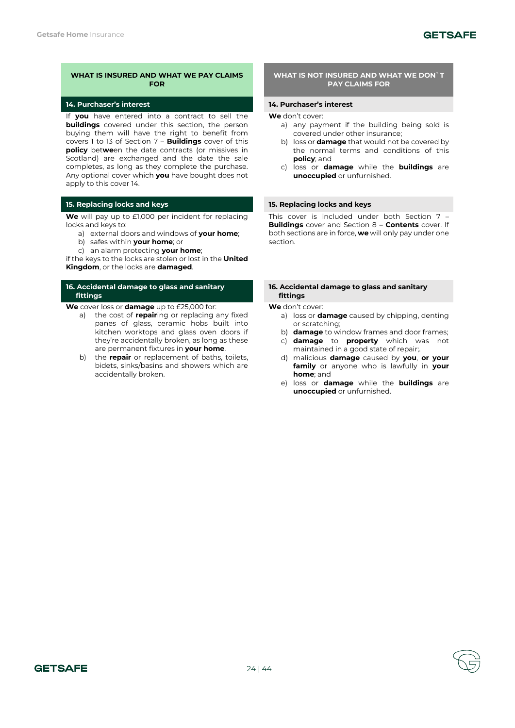# **GETSAFE**

# **WHAT IS INSURED AND WHAT WE PAY CLAIMS FOR**

# **14. Purchaser's interest 14. Purchaser's interest**

If **you** have entered into a contract to sell the **buildings** covered under this section, the person buying them will have the right to benefit from covers 1 to 13 of Section 7 – **Buildings** cover of this **policy** bet**we**en the date contracts (or missives in Scotland) are exchanged and the date the sale completes, as long as they complete the purchase. Any optional cover which **you** have bought does not apply to this cover 14.

# **15. Replacing locks and keys 15. Replacing locks and keys**

**We** will pay up to £1,000 per incident for replacing locks and keys to:

- a) external doors and windows of **your home**;
- b) safes within **your home**; or
- c) an alarm protecting **your home**;

if the keys to the locks are stolen or lost in the **United Kingdom**, or the locks are **damaged**.

# **16. Accidental damage to glass and sanitary fittings**

**We** cover loss or **damage** up to £25,000 for:

- a) the cost of **repair**ing or replacing any fixed panes of glass, ceramic hobs built into kitchen worktops and glass oven doors if they're accidentally broken, as long as these are permanent fixtures in **your home**.
- b) the **repair** or replacement of baths, toilets, bidets, sinks/basins and showers which are accidentally broken.

### **WHAT IS NOT INSURED AND WHAT WE DON`T PAY CLAIMS FOR**

**We** don't cover:

- a) any payment if the building being sold is covered under other insurance;
- b) loss or **damage** that would not be covered by the normal terms and conditions of this **policy**; and
- c) loss or **damage** while the **buildings** are **unoccupied** or unfurnished.

This cover is included under both Section 7 – **Buildings** cover and Section 8 – **Contents** cover. If both sections are in force, **we** will only pay under one section.

#### **16. Accidental damage to glass and sanitary fittings**

- a) loss or **damage** caused by chipping, denting or scratching;
- b) **damage** to window frames and door frames;
- c) **damage** to **property** which was not maintained in a good state of repair;.
- d) malicious **damage** caused by **you**, **or your family** or anyone who is lawfully in **your home**; and
- e) loss or **damage** while the **buildings** are **unoccupied** or unfurnished.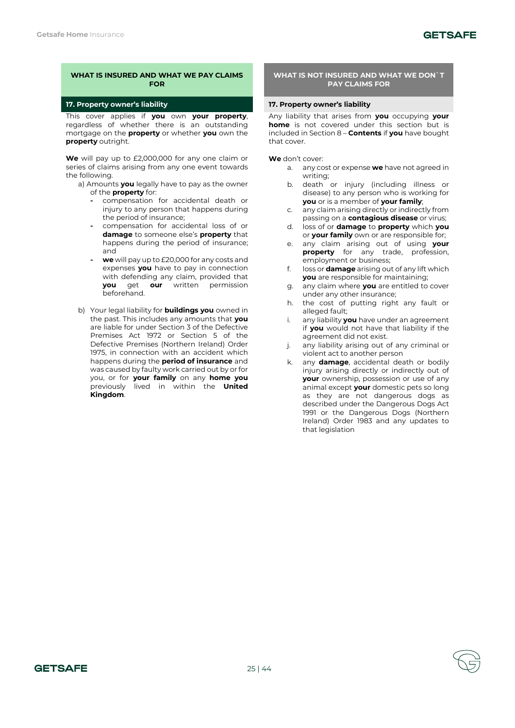# **17. Property owner's liability 17. Property owner's liability**

This cover applies if **you** own **your property**, regardless of whether there is an outstanding mortgage on the **property** or whether **you** own the **property** outright.

**We** will pay up to £2,000,000 for any one claim or series of claims arising from any one event towards the following.

- a) Amounts **you** legally have to pay as the owner of the **property** for:
	- **-** compensation for accidental death or injury to any person that happens during the period of insurance;
	- **-** compensation for accidental loss of or **damage** to someone else's **property** that happens during the period of insurance; and
	- **- we** will pay up to £20,000 for any costs and expenses **you** have to pay in connection with defending any claim, provided that **you** get **our** written permission beforehand.
- b) Your legal liability for **buildings you** owned in the past. This includes any amounts that **you**  are liable for under Section 3 of the Defective Premises Act 1972 or Section 5 of the Defective Premises (Northern Ireland) Order 1975, in connection with an accident which happens during the **period of insurance** and was caused by faulty work carried out by or for you, or for **your family** on any **home you**  previously lived in within the **United Kingdom**.

# **WHAT IS NOT INSURED AND WHAT WE DON`T PAY CLAIMS FOR**

Any liability that arises from **you** occupying **your home** is not covered under this section but is included in Section 8 – **Contents** if **you** have bought that cover.

- a. any cost or expense **we** have not agreed in writing;
- b. death or injury (including illness or disease) to any person who is working for **you** or is a member of **your family**;
- c. any claim arising directly or indirectly from passing on a **contagious disease** or virus;
- d. loss of or **damage** to **property** which **you**  or **your family** own or are responsible for;
- e. any claim arising out of using **your property** for any trade, profession, employment or business;
- f. loss or **damage** arising out of any lift which **you** are responsible for maintaining;
- g. any claim where **you** are entitled to cover under any other insurance;
- h. the cost of putting right any fault or alleged fault:
- i. any liability **you** have under an agreement if **you** would not have that liability if the agreement did not exist.
- j. any liability arising out of any criminal or violent act to another person
- k. any **damage**, accidental death or bodily injury arising directly or indirectly out of **your** ownership, possession or use of any animal except **your** domestic pets so long as they are not dangerous dogs as described under the Dangerous Dogs Act 1991 or the Dangerous Dogs (Northern Ireland) Order 1983 and any updates to that legislation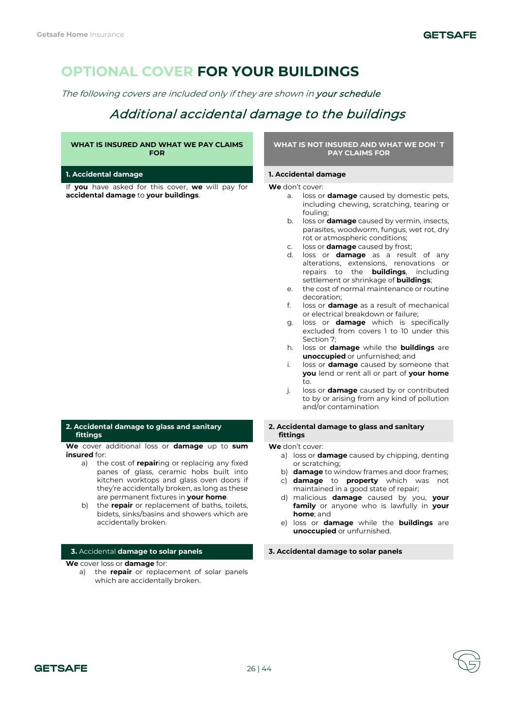# **OPTIONAL COVER FOR YOUR BUILDINGS**

The following covers are included only if they are shown in your schedule.

# Additional accidental damage to the buildings

# **WHAT IS INSURED AND WHAT WE PAY CLAIMS FOR**

### **1. Accidental damage 1. Accidental damage**

If **you** have asked for this cover, **we** will pay for **accidental damage** to **your buildings**.

# **2. Accidental damage to glass and sanitary fittings**

**We** cover additional loss or **damage** up to **sum insured** for:

- a) the cost of **repair**ing or replacing any fixed panes of glass, ceramic hobs built into kitchen worktops and glass oven doors if they're accidentally broken, as long as these are permanent fixtures in **your home**.
- b) the **repair** or replacement of baths, toilets, bidets, sinks/basins and showers which are accidentally broken.

# **3.** Accidental **damage to solar panels 3. Accidental damage to solar panels**

**We** cover loss or **damage** for:

a) the **repair** or replacement of solar panels which are accidentally broken.

### **WHAT IS NOT INSURED AND WHAT WE DON`T PAY CLAIMS FOR**

#### **We** don't cover:

- a. loss or **damage** caused by domestic pets, including chewing, scratching, tearing or fouling;
- b. loss or **damage** caused by vermin, insects, parasites, woodworm, fungus, wet rot, dry rot or atmospheric conditions;
- c. loss or **damage** caused by frost;
- d. loss or **damage** as a result of any alterations, extensions, renovations or repairs to the **buildings**, including settlement or shrinkage of **buildings**;
- e. the cost of normal maintenance or routine decoration;
- loss or **damage** as a result of mechanical or electrical breakdown or failure;
- g. loss or **damage** which is specifically excluded from covers 1 to 10 under this Section 7;
- h. loss or **damage** while the **buildings** are **unoccupied** or unfurnished; and
- i. loss or **damage** caused by someone that **you** lend or rent all or part of **your home** to.
- j. loss or **damage** caused by or contributed to by or arising from any kind of pollution and/or contamination

#### **2. Accidental damage to glass and sanitary fittings**

- a) loss or **damage** caused by chipping, denting or scratching;
- b) **damage** to window frames and door frames;
- c) **damage** to **property** which was not maintained in a good state of repair;
- d) malicious **damage** caused by you, **your family** or anyone who is lawfully in **your home**; and
- e) loss or **damage** while the **buildings** are **unoccupied** or unfurnished.

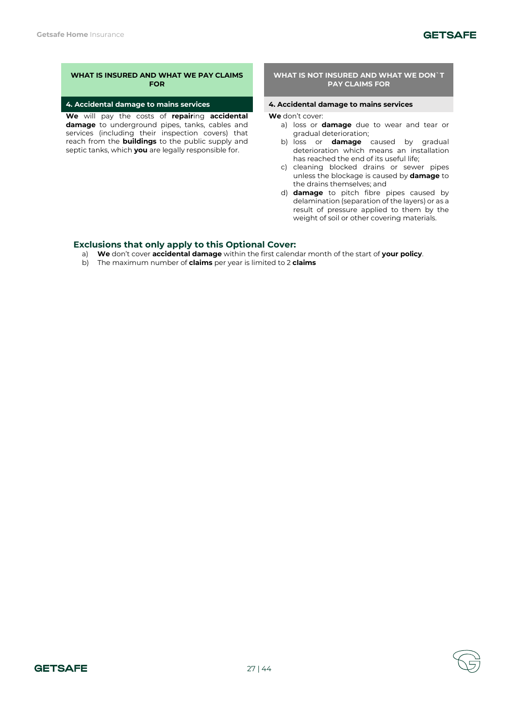### **4. Accidental damage to mains services 4. Accidental damage to mains services**

**We** will pay the costs of **repair**ing **accidental damage** to underground pipes, tanks, cables and services (including their inspection covers) that reach from the **buildings** to the public supply and septic tanks, which **you** are legally responsible for.

### **WHAT IS NOT INSURED AND WHAT WE DON`T PAY CLAIMS FOR**

**We** don't cover:

- a) loss or **damage** due to wear and tear or gradual deterioration;
- b) loss or **damage** caused by gradual deterioration which means an installation has reached the end of its useful life;
- c) cleaning blocked drains or sewer pipes unless the blockage is caused by **damage** to the drains themselves; and
- d) **damage** to pitch fibre pipes caused by delamination (separation of the layers) or as a result of pressure applied to them by the weight of soil or other covering materials.

# **Exclusions that only apply to this Optional Cover:**

- a) **We** don't cover **accidental damage** within the first calendar month of the start of **your policy**.
- b) The maximum number of **claims** per year is limited to 2 **claims**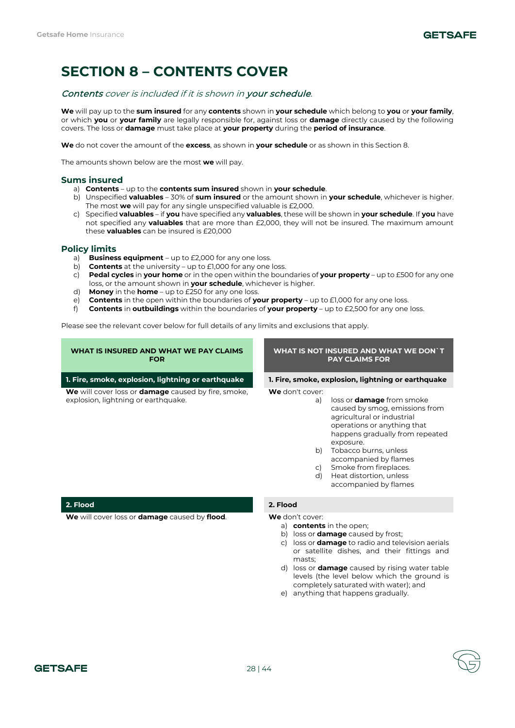# **SECTION 8 – CONTENTS COVER**

# Contents cover is included if it is shown in your schedule.

**We** will pay up to the **sum insured** for any **contents** shown in **your schedule** which belong to **you** or **your family**, or which **you** or **your family** are legally responsible for, against loss or **damage** directly caused by the following covers. The loss or **damage** must take place at **your property** during the **period of insurance**.

**We** do not cover the amount of the **excess**, as shown in **your schedule** or as shown in this Section 8.

The amounts shown below are the most **we** will pay.

# **Sums insured**

- a) **Contents** up to the **contents sum insured** shown in **your schedule**.
- b) Unspecified **valuables** 30% of **sum insured** or the amount shown in **your schedule**, whichever is higher. The most **we** will pay for any single unspecified valuable is £2,000.
- c) Specified **valuables** if **you** have specified any **valuables**, these will be shown in **your schedule**. If **you** have not specified any **valuables** that are more than £2,000, they will not be insured. The maximum amount these **valuables** can be insured is £20,000

# **Policy limits**

- **Business equipment** up to £2,000 for any one loss.
- b) **Contents** at the university up to £1,000 for any one loss.
- c) **Pedal cycles** in **your home** or in the open within the boundaries of **your property** up to £500 for any one loss, or the amount shown in **your schedule**, whichever is higher.
- d) **Money** in the **home** up to £250 for any one loss.
- e) **Contents** in the open within the boundaries of **your property** up to £1,000 for any one loss.
- f) **Contents** in **outbuildings** within the boundaries of **your property** up to £2,500 for any one loss.

Please see the relevant cover below for full details of any limits and exclusions that apply.

| WHAT IS INSURED AND WHAT WE PAY CLAIMS<br><b>FOR</b>                                                     | WHAT IS NOT INSURED AND WHAT WE DON`T<br><b>PAY CLAIMS FOR</b>                                                                                                                                                                                                                                                                                             |  |
|----------------------------------------------------------------------------------------------------------|------------------------------------------------------------------------------------------------------------------------------------------------------------------------------------------------------------------------------------------------------------------------------------------------------------------------------------------------------------|--|
| 1. Fire, smoke, explosion, lightning or earthquake                                                       | 1. Fire, smoke, explosion, lightning or earthquake                                                                                                                                                                                                                                                                                                         |  |
| <b>We</b> will cover loss or <b>damage</b> caused by fire, smoke,<br>explosion, lightning or earthquake. | We don't cover:<br>loss or <b>damage</b> from smoke<br>a)<br>caused by smog, emissions from<br>agricultural or industrial<br>operations or anything that<br>happens gradually from repeated<br>exposure.<br>Tobacco burns, unless<br>b)<br>accompanied by flames<br>Smoke from fireplaces.<br>C)<br>Heat distortion, unless<br>d)<br>accompanied by flames |  |
| 2. Flood                                                                                                 | 2. Flood                                                                                                                                                                                                                                                                                                                                                   |  |
| We will cover loss or damage caused by flood.                                                            | <b>We</b> don't cover:<br>a) contents in the open;<br>b) loss or <b>damage</b> caused by frost;                                                                                                                                                                                                                                                            |  |

- c) loss or **damage** to radio and television aerials or satellite dishes, and their fittings and masts;
- d) loss or **damage** caused by rising water table levels (the level below which the ground is completely saturated with water); and
- e) anything that happens gradually.

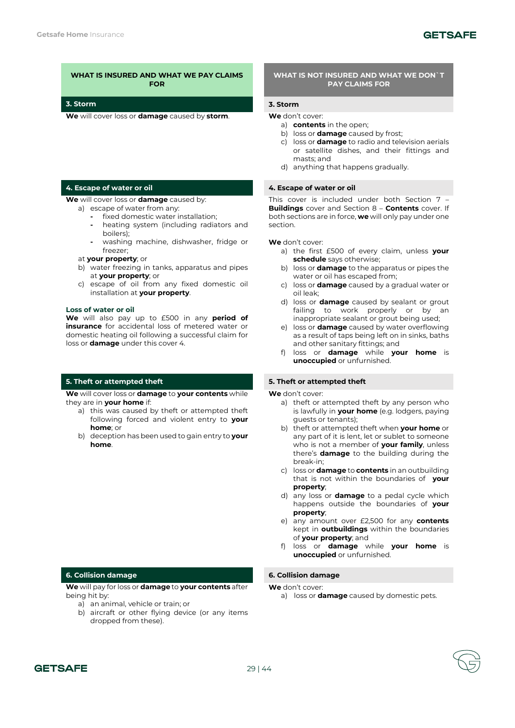# **3. Storm 3. Storm**

**We** will cover loss or **damage** caused by **storm**. **We** don't cover:

# **4. Escape of water or oil 4. Escape of water or oil**

**We** will cover loss or **damage** caused by:

- a) escape of water from any:
	- **-** fixed domestic water installation;
	- **-** heating system (including radiators and boilers);
	- **-** washing machine, dishwasher, fridge or freezer;
- at **your property**; or
- b) water freezing in tanks, apparatus and pipes at **your property**; or
- c) escape of oil from any fixed domestic oil installation at **your property**.

#### **Loss of water or oil**

**We** will also pay up to £500 in any **period of insurance** for accidental loss of metered water or domestic heating oil following a successful claim for loss or **damage** under this cover 4.

**We** will cover loss or **damage** to **your contents** while they are in **your home** if:

- a) this was caused by theft or attempted theft following forced and violent entry to **your home**; or
- b) deception has been used to gain entry to **your home**.

**We** will pay for loss or **damage** to **your contents** after being hit by:

- a) an animal, vehicle or train; or
- b) aircraft or other flying device (or any items dropped from these).

### **WHAT IS NOT INSURED AND WHAT WE DON`T PAY CLAIMS FOR**

- a) **contents** in the open;
- b) loss or **damage** caused by frost;
- c) loss or **damage** to radio and television aerials or satellite dishes, and their fittings and masts; and
- d) anything that happens gradually.

This cover is included under both Section 7 – **Buildings** cover and Section 8 – **Contents** cover. If both sections are in force, **we** will only pay under one section.

### **We** don't cover:

- a) the first £500 of every claim, unless **your schedule** says otherwise;
- b) loss or **damage** to the apparatus or pipes the water or oil has escaped from;
- c) loss or **damage** caused by a gradual water or oil leak;
- d) loss or **damage** caused by sealant or grout failing to work properly or by an inappropriate sealant or grout being used:
- e) loss or **damage** caused by water overflowing as a result of taps being left on in sinks, baths and other sanitary fittings; and
- f) loss or **damage** while **your home** is **unoccupied** or unfurnished.

#### **5. Theft or attempted theft 5. Theft or attempted theft**

**We** don't cover:

- a) theft or attempted theft by any person who is lawfully in **your home** (e.g. lodgers, paying guests or tenants);
- b) theft or attempted theft when **your home** or any part of it is lent, let or sublet to someone who is not a member of **your family**, unless there's **damage** to the building during the break-in;
- c) loss or **damage** to **contents** in an outbuilding that is not within the boundaries of **your property**;
- d) any loss or **damage** to a pedal cycle which happens outside the boundaries of **your property**;
- e) any amount over £2,500 for any **contents** kept in **outbuildings** within the boundaries of **your property**; and
- f) loss or **damage** while **your home** is **unoccupied** or unfurnished.

#### **6. Collision damage 6. Collision damage**

**We** don't cover:

a) loss or **damage** caused by domestic pets.

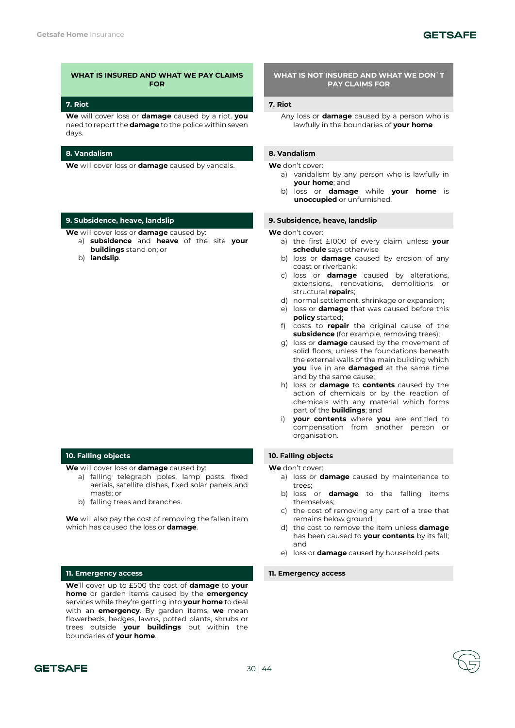### **7. Riot 7. Riot**

**We** will cover loss or **damage** caused by a riot. **you**  need to report the **damage** to the police within seven days.

# **8. Vandalism 8. Vandalism**

**We** will cover loss or **damage** caused by vandals. **We** don't cover:

# **9. Subsidence, heave, landslip 9. Subsidence, heave, landslip**

**We** will cover loss or **damage** caused by:

- a) **subsidence** and **heave** of the site **your buildings** stand on; or
- b) **landslip**.

# **10. Falling objects 10. Falling objects**

**We** will cover loss or **damage** caused by:

- a) falling telegraph poles, lamp posts, fixed aerials, satellite dishes, fixed solar panels and masts; or
- b) falling trees and branches.

**We** will also pay the cost of removing the fallen item which has caused the loss or **damage**.

### **11. Emergency access 11. Emergency access**

**We**'ll cover up to £500 the cost of **damage** to **your home** or garden items caused by the **emergency** services while they're getting into **your home** to deal with an **emergency**. By garden items, **we** mean flowerbeds, hedges, lawns, potted plants, shrubs or trees outside **your buildings** but within the boundaries of **your home**.

### **WHAT IS NOT INSURED AND WHAT WE DON`T PAY CLAIMS FOR**

Any loss or **damage** caused by a person who is lawfully in the boundaries of **your home**

- a) vandalism by any person who is lawfully in **your home**; and
- b) loss or **damage** while **your home** is **unoccupied** or unfurnished.

**We** don't cover:

- a) the first £1000 of every claim unless **your schedule** says otherwise
- b) loss or **damage** caused by erosion of any coast or riverbank;
- c) loss or **damage** caused by alterations, extensions, renovations, demolitions or structural **repair**s;
- d) normal settlement, shrinkage or expansion;
- e) loss or **damage** that was caused before this **policy** started;
- f) costs to **repair** the original cause of the **subsidence** (for example, removing trees);
- g) loss or **damage** caused by the movement of solid floors, unless the foundations beneath the external walls of the main building which **you** live in are **damaged** at the same time and by the same cause;
- h) loss or **damage** to **contents** caused by the action of chemicals or by the reaction of chemicals with any material which forms part of the **buildings**; and
- i) **your contents** where **you** are entitled to compensation from another person or organisation.

- a) loss or **damage** caused by maintenance to trees;
- b) loss or **damage** to the falling items themselves;
- c) the cost of removing any part of a tree that remains below ground;
- d) the cost to remove the item unless **damage** has been caused to **your contents** by its fall; and
- e) loss or **damage** caused by household pets.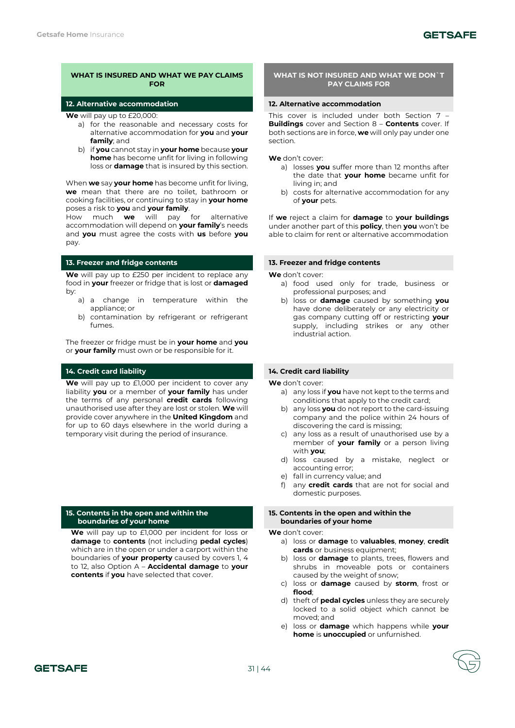### **12. Alternative accommodation 12. Alternative accommodation**

**We** will pay up to £20,000:

- a) for the reasonable and necessary costs for alternative accommodation for **you** and **your family**; and
- b) if **you** cannot stay in **your home** because **your home** has become unfit for living in following loss or **damage** that is insured by this section.

When **we** say **your home** has become unfit for living, **we** mean that there are no toilet, bathroom or cooking facilities, or continuing to stay in **your home** poses a risk to **you** and **your family**.

How much **we** will pay for alternative accommodation will depend on **your family**'s needs and **you** must agree the costs with **us** before **you**  pay.

# **13. Freezer and fridge contents 13. Freezer and fridge contents**

**We** will pay up to £250 per incident to replace any food in **your** freezer or fridge that is lost or **damaged** by:

- a) a change in temperature within the appliance; or
- b) contamination by refrigerant or refrigerant fumes.

The freezer or fridge must be in **your home** and **you**  or **your family** must own or be responsible for it.

# **14. Credit card liability 14. Credit card liability**

**We** will pay up to £1,000 per incident to cover any liability **you** or a member of **your family** has under the terms of any personal **credit cards** following unauthorised use after they are lost or stolen. **We** will provide cover anywhere in the **United Kingdom** and for up to 60 days elsewhere in the world during a temporary visit during the period of insurance.

### **15. Contents in the open and within the boundaries of your home**

**We** will pay up to £1,000 per incident for loss or **damage** to **contents** (not including **pedal cycles**) which are in the open or under a carport within the boundaries of **your property** caused by covers 1, 4 to 12, also Option A – **Accidental damage** to **your contents** if **you** have selected that cover.

### **WHAT IS NOT INSURED AND WHAT WE DON`T PAY CLAIMS FOR**

This cover is included under both Section 7 – **Buildings** cover and Section 8 – **Contents** cover. If both sections are in force, **we** will only pay under one section.

**We** don't cover:

- a) losses **you** suffer more than 12 months after the date that **your home** became unfit for living in; and
- b) costs for alternative accommodation for any of **your** pets.

If **we** reject a claim for **damage** to **your buildings** under another part of this **policy**, then **you** won't be able to claim for rent or alternative accommodation

**We** don't cover:

- a) food used only for trade, business or professional purposes; and
- b) loss or **damage** caused by something **you**  have done deliberately or any electricity or gas company cutting off or restricting **your**  supply, including strikes or any other industrial action.

**We** don't cover:

- a) any loss if **you** have not kept to the terms and conditions that apply to the credit card;
- b) any loss **you** do not report to the card-issuing company and the police within 24 hours of discovering the card is missing;
- c) any loss as a result of unauthorised use by a member of **your family** or a person living with **you**;
- d) loss caused by a mistake, neglect or accounting error;
- e) fall in currency value; and
- f) any **credit cards** that are not for social and domestic purposes.

# **15. Contents in the open and within the boundaries of your home**

- a) loss or **damage** to **valuables**, **money**, **credit cards** or business equipment;
- b) loss or **damage** to plants, trees, flowers and shrubs in moveable pots or containers caused by the weight of snow;
- c) loss or **damage** caused by **storm**, frost or **flood**;
- d) theft of **pedal cycles** unless they are securely locked to a solid object which cannot be moved; and
- e) loss or **damage** which happens while **your home** is **unoccupied** or unfurnished.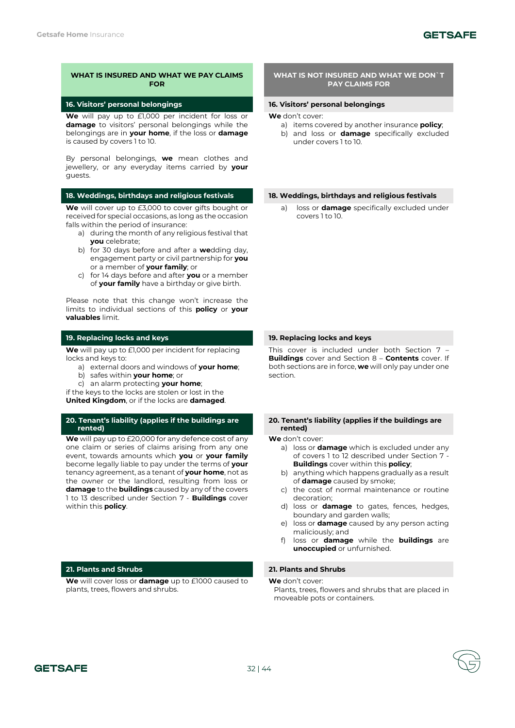# **GETSAFE**

# **WHAT IS INSURED AND WHAT WE PAY CLAIMS FOR**

### **16. Visitors' personal belongings 16. Visitors' personal belongings**

**We** will pay up to £1,000 per incident for loss or **damage** to visitors' personal belongings while the belongings are in **your home**, if the loss or **damage** is caused by covers 1 to 10.

By personal belongings, **we** mean clothes and jewellery, or any everyday items carried by **your**  guests.

**We** will cover up to £3,000 to cover gifts bought or received for special occasions, as long as the occasion falls within the period of insurance:

- a) during the month of any religious festival that **you** celebrate;
- b) for 30 days before and after a **we**dding day, engagement party or civil partnership for **you**  or a member of **your family**; or
- c) for 14 days before and after **you** or a member of **your family** have a birthday or give birth.

Please note that this change won't increase the limits to individual sections of this **policy** or **your valuables** limit.

**We** will pay up to £1,000 per incident for replacing locks and keys to:

- a) external doors and windows of **your home**;
- b) safes within **your home**; or
- c) an alarm protecting **your home**;

if the keys to the locks are stolen or lost in the **United Kingdom**, or if the locks are **damaged**.

# **20. Tenant's liability (applies if the buildings are rented)**

**We** will pay up to £20,000 for any defence cost of any one claim or series of claims arising from any one event, towards amounts which **you** or **your family** become legally liable to pay under the terms of **your**  tenancy agreement, as a tenant of **your home**, not as the owner or the landlord, resulting from loss or **damage** to the **buildings** caused by any of the covers 1 to 13 described under Section 7 - **Buildings** cover within this **policy**.

# **21. Plants and Shrubs 21. Plants and Shrubs**

**We** will cover loss or **damage** up to £1000 caused to plants, trees, flowers and shrubs.

### **WHAT IS NOT INSURED AND WHAT WE DON`T PAY CLAIMS FOR**

- **We** don't cover:
	- a) items covered by another insurance **policy**;
	- b) and loss or **damage** specifically excluded under covers 1 to 10.

**18. Weddings, birthdays and religious festivals 18. Weddings, birthdays and religious festivals**

a) loss or **damage** specifically excluded under covers 1 to 10.

### **19. Replacing locks and keys 19. Replacing locks and keys**

This cover is included under both Section 7 – **Buildings** cover and Section 8 – **Contents** cover. If both sections are in force, **we** will only pay under one section.

### **20. Tenant's liability (applies if the buildings are rented)**

**We** don't cover:

- a) loss or **damage** which is excluded under any of covers 1 to 12 described under Section 7 - **Buildings** cover within this **policy**;
- b) anything which happens gradually as a result of **damage** caused by smoke;
- c) the cost of normal maintenance or routine decoration;
- d) loss or **damage** to gates, fences, hedges, boundary and garden walls;
- e) loss or **damage** caused by any person acting maliciously; and
- f) loss or **damage** while the **buildings** are **unoccupied** or unfurnished.

**We** don't cover: Plants, trees, flowers and shrubs that are placed in moveable pots or containers.

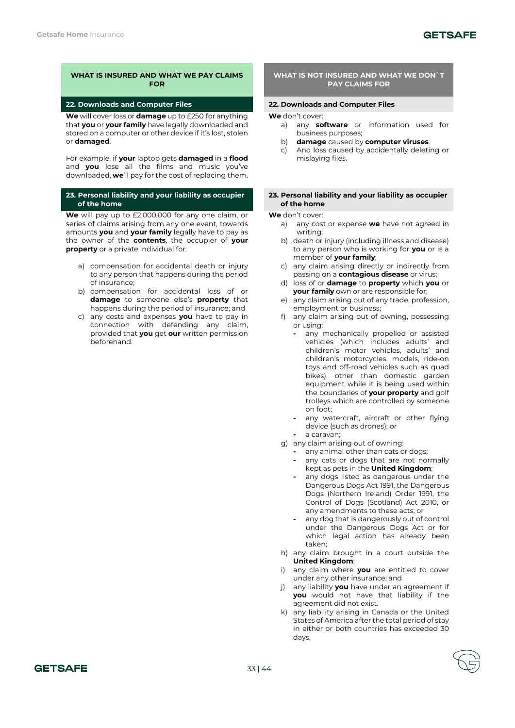# **22. Downloads and Computer Files 22. Downloads and Computer Files**

**We** will cover loss or **damage** up to £250 for anything that **you** or **your family** have legally downloaded and stored on a computer or other device if it's lost, stolen or **damaged**.

For example, if **your** laptop gets **damaged** in a **flood** and **you** lose all the films and music you've downloaded, **we**'ll pay for the cost of replacing them.

# **23. Personal liability and your liability as occupier of the home**

**We** will pay up to £2,000,000 for any one claim, or series of claims arising from any one event, towards amounts **you** and **your family** legally have to pay as the owner of the **contents**, the occupier of **your property** or a private individual for:

- a) compensation for accidental death or injury to any person that happens during the period of insurance;
- b) compensation for accidental loss of or **damage** to someone else's **property** that happens during the period of insurance; and
- c) any costs and expenses **you** have to pay in connection with defending any claim, provided that **you** get **our** written permission beforehand.

### **WHAT IS NOT INSURED AND WHAT WE DON`T PAY CLAIMS FOR**

**We** don't cover:

- a) any **software** or information used for business purposes;
- b) **damage** caused by **computer viruses**.
- c) And loss caused by accidentally deleting or mislaying files.

#### **23. Personal liability and your liability as occupier of the home**

- a) any cost or expense **we** have not agreed in writing;
- b) death or injury (including illness and disease) to any person who is working for **you** or is a member of **your family**;
- c) any claim arising directly or indirectly from passing on a **contagious disease** or virus;
- d) loss of or **damage** to **property** which **you** or **your family** own or are responsible for:
- e) any claim arising out of any trade, profession, employment or business;
- f) any claim arising out of owning, possessing or using:
	- **-** any mechanically propelled or assisted vehicles (which includes adults' and children's motor vehicles, adults' and children's motorcycles, models, ride-on toys and off-road vehicles such as quad bikes), other than domestic garden equipment while it is being used within the boundaries of **your property** and golf trolleys which are controlled by someone on foot;
	- **-** any watercraft, aircraft or other flying device (such as drones); or
	- **-** a caravan;
- g) any claim arising out of owning:
	- **-** any animal other than cats or dogs;
	- **-** any cats or dogs that are not normally kept as pets in the **United Kingdom**;
	- **-** any dogs listed as dangerous under the Dangerous Dogs Act 1991, the Dangerous Dogs (Northern Ireland) Order 1991, the Control of Dogs (Scotland) Act 2010, or any amendments to these acts; or
	- **-** any dog that is dangerously out of control under the Dangerous Dogs Act or for which legal action has already been taken;
- h) any claim brought in a court outside the **United Kingdom**;
- i) any claim where **you** are entitled to cover under any other insurance; and
- j) any liability **you** have under an agreement if **you** would not have that liability if the agreement did not exist.
- k) any liability arising in Canada or the United States of America after the total period of stay in either or both countries has exceeded 30 days.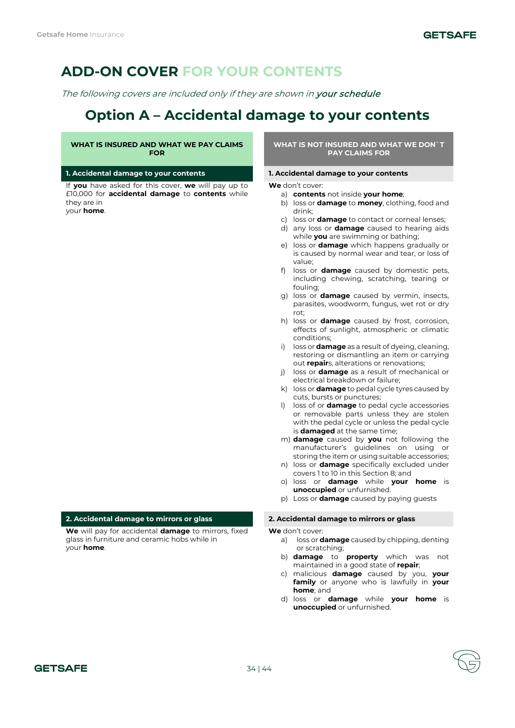# **ADD-ON COVER FOR YOUR CONTENTS**

The following covers are included only if they are shown in your schedule.

# **Option A – Accidental damage to your contents**

# **WHAT IS INSURED AND WHAT WE PAY CLAIMS FOR**

# **1. Accidental damage to your contents 1. Accidental damage to your contents**

If **you** have asked for this cover, **we** will pay up to £10,000 for **accidental damage** to **contents** while they are in your **home**.

**WHAT IS NOT INSURED AND WHAT WE DON`T PAY CLAIMS FOR**

**We** don't cover:

- a) **contents** not inside **your home**;
- b) loss or **damage** to **money**, clothing, food and drink;
- c) loss or **damage** to contact or corneal lenses;
- d) any loss or **damage** caused to hearing aids while **you** are swimming or bathing;
- e) loss or **damage** which happens gradually or is caused by normal wear and tear, or loss of value;
- f) loss or **damage** caused by domestic pets, including chewing, scratching, tearing or fouling;
- g) loss or **damage** caused by vermin, insects, parasites, woodworm, fungus, wet rot or dry rot;
- h) loss or **damage** caused by frost, corrosion, effects of sunlight, atmospheric or climatic conditions;
- i) loss or **damage** as a result of dyeing, cleaning, restoring or dismantling an item or carrying out **repair**s, alterations or renovations;
- j) loss or **damage** as a result of mechanical or electrical breakdown or failure;
- k) loss or **damage** to pedal cycle tyres caused by cuts, bursts or punctures;
- l) loss of or **damage** to pedal cycle accessories or removable parts unless they are stolen with the pedal cycle or unless the pedal cycle is **damaged** at the same time;
- m) **damage** caused by **you** not following the manufacturer's guidelines on using or storing the item or using suitable accessories;
- n) loss or **damage** specifically excluded under covers 1 to 10 in this Section 8; and
- o) loss or **damage** while **your home** is **unoccupied** or unfurnished.
- p) Loss or **damage** caused by paying guests

**We** don't cover:

- a) loss or **damage** caused by chipping, denting or scratching;
- b) **damage** to **property** which was not maintained in a good state of **repair**;
- c) malicious **damage** caused by you, **your family** or anyone who is lawfully in **your home**; and
- d) loss or **damage** while **your home** is **unoccupied** or unfurnished.

# **2. Accidental damage to mirrors or glass 2. Accidental damage to mirrors or glass**

**We** will pay for accidental **damage** to mirrors, fixed glass in furniture and ceramic hobs while in your **home**.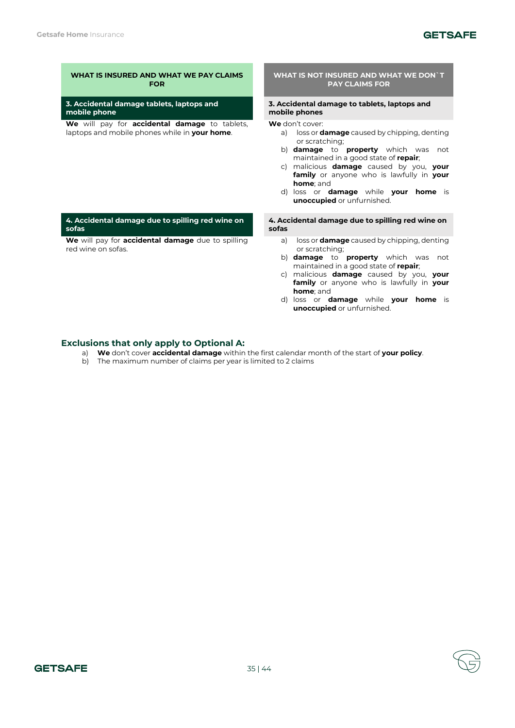**sofas**

red wine on sofas.

# **GETSAFE**

# **WHAT IS INSURED AND WHAT WE PAY CLAIMS FOR**

**3. Accidental damage tablets, laptops and mobile phone**

**We** will pay for **accidental damage** to tablets, laptops and mobile phones while in **your home**.

**4. Accidental damage due to spilling red wine on** 

**We** will pay for **accidental damage** due to spilling

#### **WHAT IS NOT INSURED AND WHAT WE DON`T PAY CLAIMS FOR**

#### **3. Accidental damage to tablets, laptops and mobile phones**

**We** don't cover:

- a) loss or **damage** caused by chipping, denting or scratching;
- b) **damage** to **property** which was not maintained in a good state of **repair**;
- c) malicious **damage** caused by you, **your family** or anyone who is lawfully in **your home**; and
- d) loss or **damage** while **your home** is **unoccupied** or unfurnished.

**4. Accidental damage due to spilling red wine on sofas**

- a) loss or **damage** caused by chipping, denting or scratching;
- b) **damage** to **property** which was not maintained in a good state of **repair**;
- c) malicious **damage** caused by you, **your family** or anyone who is lawfully in **your home**; and
- d) loss or **damage** while **your home** is **unoccupied** or unfurnished.

# **Exclusions that only apply to Optional A:**

- a) **We** don't cover **accidental damage** within the first calendar month of the start of **your policy**.
- b) The maximum number of claims per year is limited to 2 claims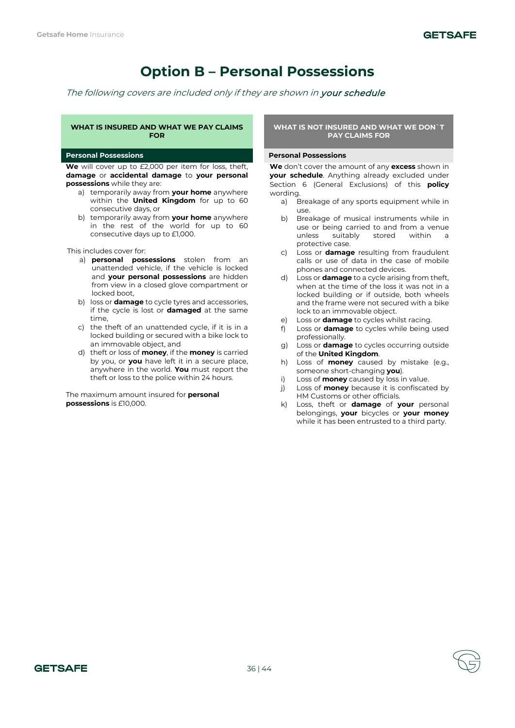# **Option B – Personal Possessions**

The following covers are included only if they are shown in your schedule.

### **WHAT IS INSURED AND WHAT WE PAY CLAIMS FOR**

### **Personal Possessions Personal Possessions**

**We** will cover up to £2,000 per item for loss, theft, **damage** or **accidental damage** to **your personal possessions** while they are:

- a) temporarily away from **your home** anywhere within the **United Kingdom** for up to 60 consecutive days, or
- b) temporarily away from **your home** anywhere in the rest of the world for up to 60 consecutive days up to £1,000.

This includes cover for:

- a) **personal possessions** stolen from an unattended vehicle, if the vehicle is locked and **your personal possessions** are hidden from view in a closed glove compartment or locked boot,
- b) loss or **damage** to cycle tyres and accessories, if the cycle is lost or **damaged** at the same time,
- c) the theft of an unattended cycle, if it is in a locked building or secured with a bike lock to an immovable object, and
- d) theft or loss of **money**, if the **money** is carried by you, or **you** have left it in a secure place, anywhere in the world. **You** must report the theft or loss to the police within 24 hours.

The maximum amount insured for **personal possessions** is £10,000.

# **WHAT IS NOT INSURED AND WHAT WE DON`T PAY CLAIMS FOR**

**We** don't cover the amount of any **excess** shown in **your schedule**. Anything already excluded under Section 6 (General Exclusions) of this **policy** wording.

- a) Breakage of any sports equipment while in use.
- b) Breakage of musical instruments while in use or being carried to and from a venue unless suitably stored within a protective case.
- c) Loss or **damage** resulting from fraudulent calls or use of data in the case of mobile phones and connected devices.
- d) Loss or **damage** to a cycle arising from theft, when at the time of the loss it was not in a locked building or if outside, both wheels and the frame were not secured with a bike lock to an immovable object.
- e) Loss or **damage** to cycles whilst racing.
- f) Loss or **damage** to cycles while being used professionally.
- g) Loss or **damage** to cycles occurring outside of the **United Kingdom**.
- h) Loss of **money** caused by mistake (e.g., someone short-changing **you**).
- i) Loss of **money** caused by loss in value.
- j) Loss of **money** because it is confiscated by HM Customs or other officials.
- k) Loss, theft or **damage** of **your** personal belongings, **your** bicycles or **your money** while it has been entrusted to a third party.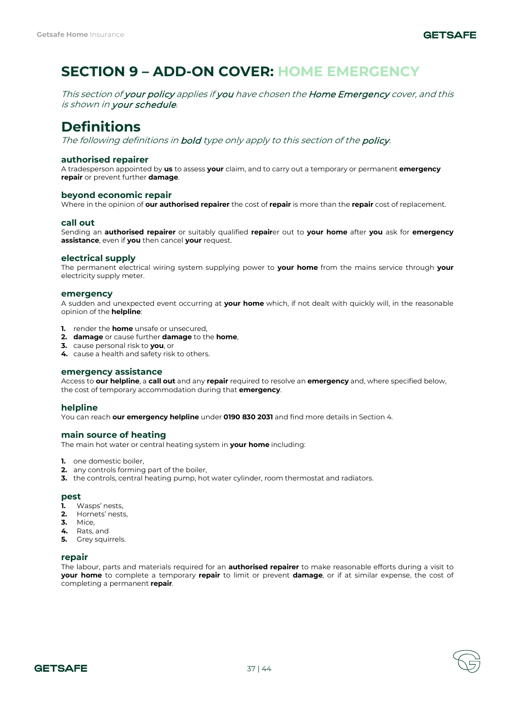# **SECTION 9 – ADD-ON COVER: HOME EMERGENCY**

This section of your policy applies if you have chosen the Home Emergency cover, and this is shown in your schedule.

# **Definitions**

The following definitions in **bold** type only apply to this section of the **policy**.

# **authorised repairer**

A tradesperson appointed by **us** to assess **your** claim, and to carry out a temporary or permanent **emergency repair** or prevent further **damage**.

# **beyond economic repair**

Where in the opinion of **our authorised repairer** the cost of **repair** is more than the **repair** cost of replacement.

# **call out**

Sending an **authorised repairer** or suitably qualified **repair**er out to **your home** after **you** ask for **emergency assistance**, even if **you** then cancel **your** request.

# **electrical supply**

The permanent electrical wiring system supplying power to **your home** from the mains service through **your**  electricity supply meter.

# **emergency**

A sudden and unexpected event occurring at **your home** which, if not dealt with quickly will, in the reasonable opinion of the **helpline**:

- **1.** render the **home** unsafe or unsecured,
- **2. damage** or cause further **damage** to the **home**,
- **3.** cause personal risk to **you**, or
- **4.** cause a health and safety risk to others.

# **emergency assistance**

Access to **our helpline**, a **call out** and any **repair** required to resolve an **emergency** and, where specified below, the cost of temporary accommodation during that **emergency**.

# **helpline**

You can reach **our emergency helpline** under **0190 830 2031** and find more details in Section 4.

# **main source of heating**

The main hot water or central heating system in **your home** including:

- **1.** one domestic boiler,
- **2.** any controls forming part of the boiler,
- **3.** the controls, central heating pump, hot water cylinder, room thermostat and radiators.

# **pest**

- **1.** Wasps' nests,
- **2.** Hornets' nests,
- **3.** Mice,
- **4.** Rats, and
- **5.** Grey squirrels.

# **repair**

The labour, parts and materials required for an **authorised repairer** to make reasonable efforts during a visit to **your home** to complete a temporary **repair** to limit or prevent **damage**, or if at similar expense, the cost of completing a permanent **repair**.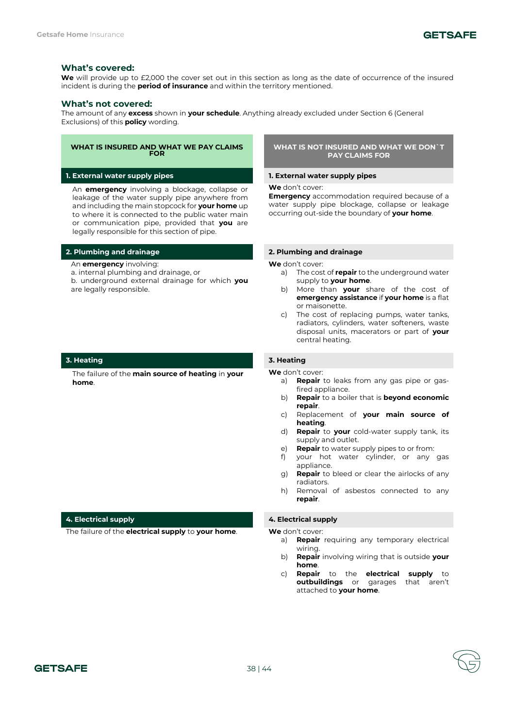

# **What's covered:**

We will provide up to £2,000 the cover set out in this section as long as the date of occurrence of the insured incident is during the **period of insurance** and within the territory mentioned.

### **What's not covered:**

The amount of any **excess** shown in **your schedule**. Anything already excluded under Section 6 (General Exclusions) of this **policy** wording.

#### **WHAT IS INSURED AND WHAT WE PAY CLAIMS FOR**

**1. External water supply pipes 1. External water supply pipes**

An **emergency** involving a blockage, collapse or leakage of the water supply pipe anywhere from and including the main stopcock for **your home** up to where it is connected to the public water main or communication pipe, provided that **you** are legally responsible for this section of pipe.

# **2. Plumbing and drainage 2. Plumbing and drainage**

- An **emergency** involving:
- a. internal plumbing and drainage, or
- b. underground external drainage for which **you**  are legally responsible.

# **3. Heating 3. Heating**

The failure of the **main source of heating** in **your home**.

#### **4. Electrical supply 4. Electrical supply**

The failure of the **electrical supply** to **your home**. **We** don't cover:

**WHAT IS NOT INSURED AND WHAT WE DON`T PAY CLAIMS FOR**

**We** don't cover:

**Emergency** accommodation required because of a water supply pipe blockage, collapse or leakage occurring out-side the boundary of **your home**.

**We** don't cover:

- a) The cost of **repair** to the underground water supply to **your home**.
- b) More than **your** share of the cost of **emergency assistance** if **your home** is a flat or maisonette.
- c) The cost of replacing pumps, water tanks, radiators, cylinders, water softeners, waste disposal units, macerators or part of **your**  central heating.

- a) **Repair** to leaks from any gas pipe or gasfired appliance.
- b) **Repair** to a boiler that is **beyond economic repair**.
- c) Replacement of **your main source of heating**.
- d) **Repair** to **your** cold-water supply tank, its supply and outlet.
- e) **Repair** to water supply pipes to or from:
- f) your hot water cylinder, or any gas appliance.
- g) **Repair** to bleed or clear the airlocks of any radiators.
- h) Removal of asbestos connected to any **repair**.

- a) **Repair** requiring any temporary electrical wiring.
- b) **Repair** involving wiring that is outside **your home**.
- c) **Repair** to the **electrical supply** to **outbuildings** or garages that aren't attached to **your home**.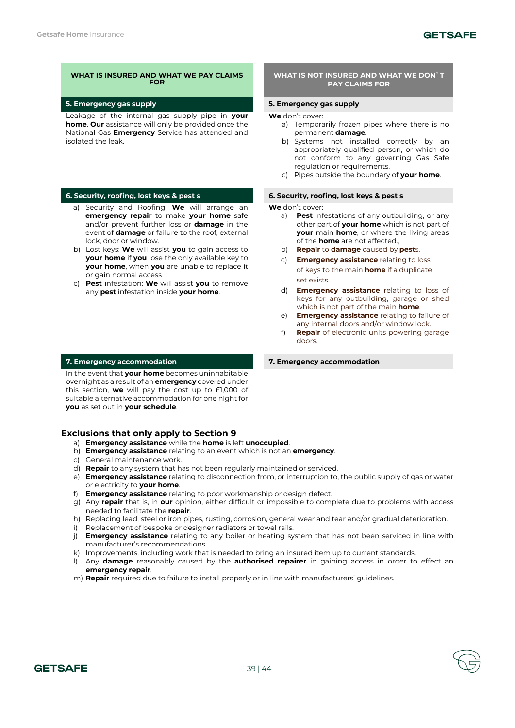Leakage of the internal gas supply pipe in **your home**. **Our** assistance will only be provided once the National Gas **Emergency** Service has attended and isolated the leak.

- a) Security and Roofing: **We** will arrange an **emergency repair** to make **your home** safe and/or prevent further loss or **damage** in the event of **damage** or failure to the roof, external lock, door or window.
- b) Lost keys: **We** will assist **you** to gain access to **your home** if **you** lose the only available key to **your home**, when **you** are unable to replace it or gain normal access
- c) **Pest** infestation: **We** will assist **you** to remove any **pest** infestation inside **your home**.

In the event that **your home** becomes uninhabitable overnight as a result of an **emergency** covered under this section, **we** will pay the cost up to £1,000 of suitable alternative accommodation for one night for **you** as set out in **your schedule**.

# **Exclusions that only apply to Section 9**

- a) **Emergency assistance** while the **home** is left **unoccupied**.
- b) **Emergency assistance** relating to an event which is not an **emergency**.
- c) General maintenance work.
- d) **Repair** to any system that has not been regularly maintained or serviced.
- e) **Emergency assistance** relating to disconnection from, or interruption to, the public supply of gas or water or electricity to **your home**.
- f) **Emergency assistance** relating to poor workmanship or design defect.
- g) Any **repair** that is, in **our** opinion, either difficult or impossible to complete due to problems with access needed to facilitate the **repair**.
- h) Replacing lead, steel or iron pipes, rusting, corrosion, general wear and tear and/or gradual deterioration.
- i) Replacement of bespoke or designer radiators or towel rails.
- j) **Emergency assistance** relating to any boiler or heating system that has not been serviced in line with manufacturer's recommendations.
- k) Improvements, including work that is needed to bring an insured item up to current standards.
- l) Any **damage** reasonably caused by the **authorised repairer** in gaining access in order to effect an **emergency repair**.
- m) **Repair** required due to failure to install properly or in line with manufacturers' guidelines.

# **WHAT IS NOT INSURED AND WHAT WE DON`T PAY CLAIMS FOR**

# **5. Emergency gas supply 5. Emergency gas supply**

**We** don't cover:

- a) Temporarily frozen pipes where there is no permanent **damage**.
- b) Systems not installed correctly by an appropriately qualified person, or which do not conform to any governing Gas Safe regulation or requirements.
- c) Pipes outside the boundary of **your home**.

# **6. Security, roofing, lost keys & pest s 6. Security, roofing, lost keys & pest s**

**We** don't cover:

- a) **Pest** infestations of any outbuilding, or any other part of **your home** which is not part of **your** main **home**, or where the living areas of the **home** are not affected.,
- b) **Repair** to **damage** caused by **pest**s.
- c) **Emergency assistance** relating to loss of keys to the main **home** if a duplicate set exists.
- d) **Emergency assistance** relating to loss of keys for any outbuilding, garage or shed which is not part of the main **home**.
- e) **Emergency assistance** relating to failure of any internal doors and/or window lock.
- f) **Repair** of electronic units powering garage doors.

#### **7. Emergency accommodation 7. Emergency accommodation**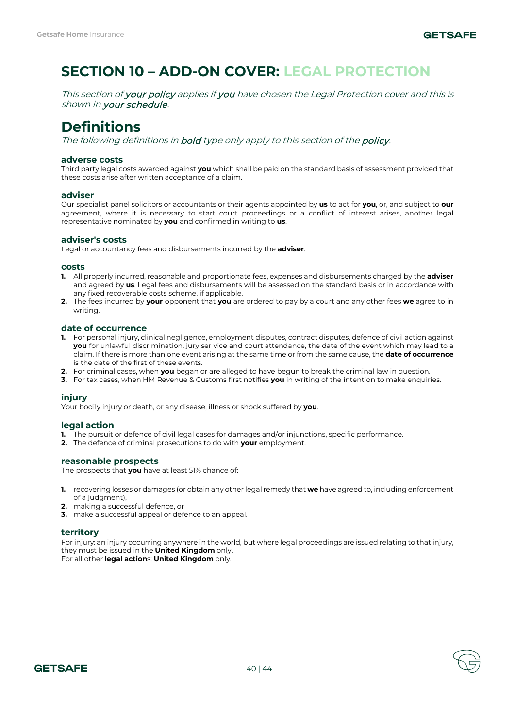# **SECTION 10 – ADD-ON COVER: LEGAL PROTECTION**

This section of your policy applies if you have chosen the Legal Protection cover and this is shown in your schedule.

# **Definitions**

The following definitions in **bold** type only apply to this section of the **policy**.

# **adverse costs**

Third party legal costs awarded against **you** which shall be paid on the standard basis of assessment provided that these costs arise after written acceptance of a claim.

# **adviser**

Our specialist panel solicitors or accountants or their agents appointed by **us** to act for **you**, or, and subject to **our**  agreement, where it is necessary to start court proceedings or a conflict of interest arises, another legal representative nominated by **you** and confirmed in writing to **us**.

# **adviser's costs**

Legal or accountancy fees and disbursements incurred by the **adviser**.

### **costs**

- **1.** All properly incurred, reasonable and proportionate fees, expenses and disbursements charged by the **adviser**  and agreed by **us**. Legal fees and disbursements will be assessed on the standard basis or in accordance with any fixed recoverable costs scheme, if applicable.
- **2.** The fees incurred by **your** opponent that **you** are ordered to pay by a court and any other fees **we** agree to in writing.

# **date of occurrence**

- **1.** For personal injury, clinical negligence, employment disputes, contract disputes, defence of civil action against **you** for unlawful discrimination, jury ser vice and court attendance, the date of the event which may lead to a claim. If there is more than one event arising at the same time or from the same cause, the **date of occurrence** is the date of the first of these events.
- **2.** For criminal cases, when **you** began or are alleged to have begun to break the criminal law in question.
- **3.** For tax cases, when HM Revenue & Customs first notifies **you** in writing of the intention to make enquiries.

# **injury**

Your bodily injury or death, or any disease, illness or shock suffered by **you**.

# **legal action**

- **1.** The pursuit or defence of civil legal cases for damages and/or injunctions, specific performance.
- **2.** The defence of criminal prosecutions to do with **your** employment.

# **reasonable prospects**

The prospects that **you** have at least 51% chance of:

- **1.** recovering losses or damages (or obtain any other legal remedy that **we** have agreed to, including enforcement of a judgment),
- **2.** making a successful defence, or
- **3.** make a successful appeal or defence to an appeal.

# **territory**

For injury: an injury occurring anywhere in the world, but where legal proceedings are issued relating to that injury, they must be issued in the **United Kingdom** only.

For all other **legal action**s: **United Kingdom** only.

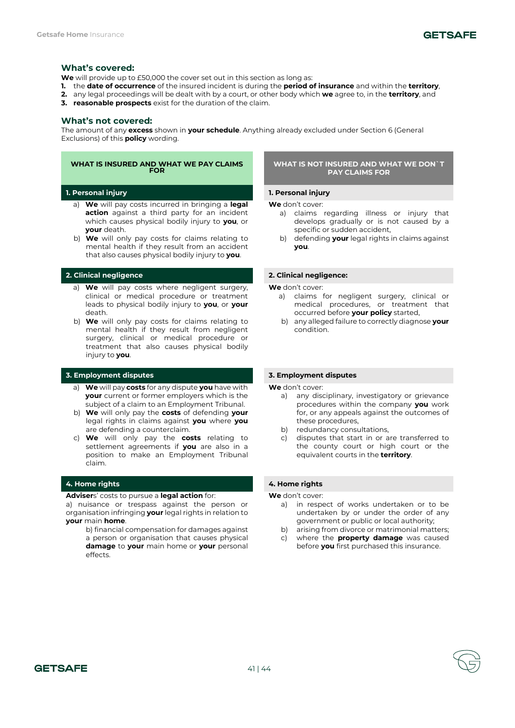

# **What's covered:**

**We** will provide up to £50,000 the cover set out in this section as long as:

- **1.** the **date of occurrence** of the insured incident is during the **period of insurance** and within the **territory**,
- **2.** any legal proceedings will be dealt with by a court, or other body which **we** agree to, in the **territory**, and
- **3. reasonable prospects** exist for the duration of the claim.

### **What's not covered:**

The amount of any **excess** shown in **your schedule**. Anything already excluded under Section 6 (General Exclusions) of this **policy** wording.

# **WHAT IS INSURED AND WHAT WE PAY CLAIMS FOR**

# **1. Personal injury 1. Personal injury**

- a) **We** will pay costs incurred in bringing a **legal action** against a third party for an incident which causes physical bodily injury to **you**, or **your** death.
- b) **We** will only pay costs for claims relating to mental health if they result from an accident that also causes physical bodily injury to **you**.

- a) **We** will pay costs where negligent surgery, clinical or medical procedure or treatment leads to physical bodily injury to **you**, or **your**  death.
- b) **We** will only pay costs for claims relating to mental health if they result from negligent surgery, clinical or medical procedure or treatment that also causes physical bodily injury to **you**.

# **3. Employment disputes 3. Employment disputes**

- a) **We** will pay **costs** for any dispute **you** have with **your** current or former employers which is the subject of a claim to an Employment Tribunal.
- b) **We** will only pay the **costs** of defending **your**  legal rights in claims against **you** where **you**  are defending a counterclaim.
- c) **We** will only pay the **costs** relating to settlement agreements if **you** are also in a position to make an Employment Tribunal claim.

# **4. Home rights 4. Home rights**

#### **Adviser**s' costs to pursue a **legal action** for:

a) nuisance or trespass against the person or organisation infringing **your** legal rights in relation to **your** main **home**.

> b) financial compensation for damages against a person or organisation that causes physical **damage** to **your** main home or **your** personal effects.

### **WHAT IS NOT INSURED AND WHAT WE DON`T PAY CLAIMS FOR**

**We** don't cover:

- a) claims regarding illness or injury that develops gradually or is not caused by a specific or sudden accident,
- b) defending **your** legal rights in claims against **you**.

### **2. Clinical negligence 2. Clinical negligence:**

**We** don't cover:

- a) claims for negligent surgery, clinical or medical procedures, or treatment that occurred before **your policy** started,
- b) any alleged failure to correctly diagnose **your**  condition.

**We** don't cover:

- a) any disciplinary, investigatory or grievance procedures within the company **you** work for, or any appeals against the outcomes of these procedures,
- b) redundancy consultations,
- c) disputes that start in or are transferred to the county court or high court or the equivalent courts in the **territory**.

- a) in respect of works undertaken or to be undertaken by or under the order of any government or public or local authority;
- b) arising from divorce or matrimonial matters;
- c) where the **property damage** was caused before **you** first purchased this insurance.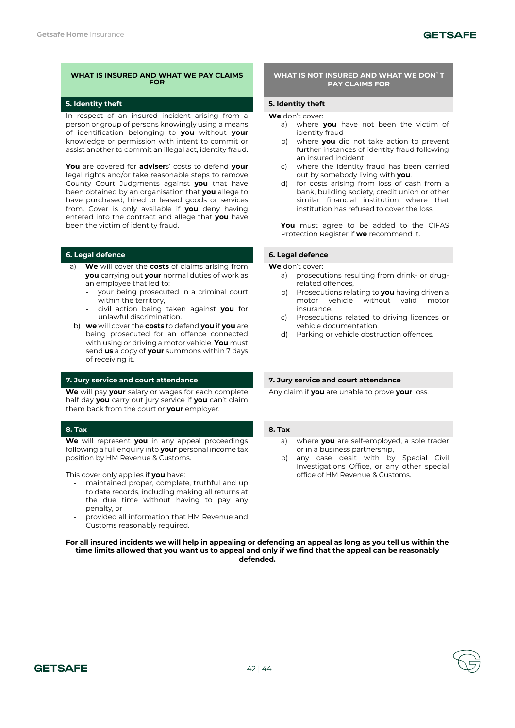In respect of an insured incident arising from a person or group of persons knowingly using a means of identification belonging to **you** without **your**  knowledge or permission with intent to commit or assist another to commit an illegal act, identity fraud.

**You** are covered for **adviser**s' costs to defend **your**  legal rights and/or take reasonable steps to remove County Court Judgments against **you** that have been obtained by an organisation that **you** allege to have purchased, hired or leased goods or services from. Cover is only available if **you** deny having entered into the contract and allege that **you** have been the victim of identity fraud.

# **6. Legal defence 6. Legal defence**

- a) **We** will cover the **costs** of claims arising from **you** carrying out **your** normal duties of work as an employee that led to:
	- **-** your being prosecuted in a criminal court within the territory,
	- **-** civil action being taken against **you** for unlawful discrimination.
- b) **we** will cover the **costs** to defend **you** if **you** are being prosecuted for an offence connected with using or driving a motor vehicle. **You** must send **us** a copy of **your** summons within 7 days of receiving it.

# **7. Jury service and court attendance 7. Jury service and court attendance**

**We** will pay **your** salary or wages for each complete half day **you** carry out jury service if **you** can't claim them back from the court or **your** employer.

# **8. Tax 8. Tax**

**We** will represent **you** in any appeal proceedings following a full enquiry into **your** personal income tax position by HM Revenue & Customs.

This cover only applies if **you** have:

- **-** maintained proper, complete, truthful and up to date records, including making all returns at the due time without having to pay any penalty, or
- **-** provided all information that HM Revenue and Customs reasonably required.

### **WHAT IS NOT INSURED AND WHAT WE DON`T PAY CLAIMS FOR**

### **5. Identity theft 5. Identity theft**

### **We** don't cover:

- a) where **you** have not been the victim of identity fraud
- b) where **you** did not take action to prevent further instances of identity fraud following an insured incident
- c) where the identity fraud has been carried out by somebody living with **you**.
- d) for costs arising from loss of cash from a bank, building society, credit union or other similar financial institution where that institution has refused to cover the loss.

**You** must agree to be added to the CIFAS Protection Register if **we** recommend it.

**We** don't cover:

- a) prosecutions resulting from drink- or drugrelated offences,
- b) Prosecutions relating to **you** having driven a motor vehicle without valid motor insurance.
- c) Prosecutions related to driving licences or vehicle documentation.
- d) Parking or vehicle obstruction offences.

Any claim if **you** are unable to prove **your** loss.

- a) where **you** are self-employed, a sole trader or in a business partnership,
- b) any case dealt with by Special Civil Investigations Office, or any other special office of HM Revenue & Customs.

**For all insured incidents we will help in appealing or defending an appeal as long as you tell us within the time limits allowed that you want us to appeal and only if we find that the appeal can be reasonably defended.**

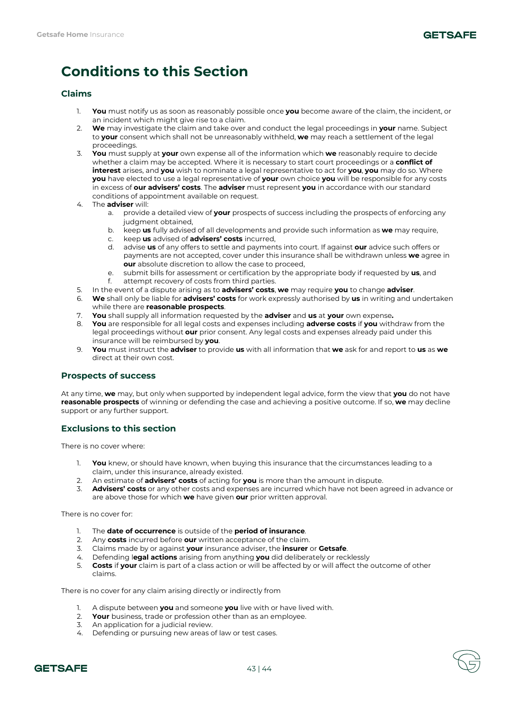

# **Conditions to this Section**

# **Claims**

- 1. **You** must notify us as soon as reasonably possible once **you** become aware of the claim, the incident, or an incident which might give rise to a claim.
- 2. **We** may investigate the claim and take over and conduct the legal proceedings in **your** name. Subject to **your** consent which shall not be unreasonably withheld, **we** may reach a settlement of the legal proceedings.
- 3. **You** must supply at **your** own expense all of the information which **we** reasonably require to decide whether a claim may be accepted. Where it is necessary to start court proceedings or a **conflict of interest** arises, and **you** wish to nominate a legal representative to act for **you**, **you** may do so. Where **you** have elected to use a legal representative of **your** own choice **you** will be responsible for any costs in excess of **our advisers' costs**. The **adviser** must represent **you** in accordance with our standard conditions of appointment available on request.
- 4. The **adviser** will:
	- a. provide a detailed view of **your** prospects of success including the prospects of enforcing any judgment obtained,
	- b. keep **us** fully advised of all developments and provide such information as **we** may require,
	- c. keep **us** advised of **advisers' costs** incurred,
	- d. advise **us** of any offers to settle and payments into court. If against **our** advice such offers or payments are not accepted, cover under this insurance shall be withdrawn unless **we** agree in **our** absolute discretion to allow the case to proceed,
	- e. submit bills for assessment or certification by the appropriate body if requested by **us**, and
	- attempt recovery of costs from third parties.
- 5. In the event of a dispute arising as to **advisers' costs**, **we** may require **you** to change **adviser**.
- 6. **We** shall only be liable for **advisers' costs** for work expressly authorised by **us** in writing and undertaken while there are **reasonable prospects**.
- 7. **You** shall supply all information requested by the **adviser** and **us** at **your** own expense**.**
- 8. **You** are responsible for all legal costs and expenses including **adverse costs** if **you** withdraw from the legal proceedings without **our** prior consent. Any legal costs and expenses already paid under this insurance will be reimbursed by **you**.
- 9. **You** must instruct the **adviser** to provide **us** with all information that **we** ask for and report to **us** as **we**  direct at their own cost.

# **Prospects of success**

At any time, **we** may, but only when supported by independent legal advice, form the view that **you** do not have **reasonable prospects** of winning or defending the case and achieving a positive outcome. If so, **we** may decline support or any further support.

# **Exclusions to this section**

There is no cover where:

- 1. **You** knew, or should have known, when buying this insurance that the circumstances leading to a claim, under this insurance, already existed.
- 2. An estimate of **advisers' costs** of acting for **you** is more than the amount in dispute.
- 3. **Advisers' costs** or any other costs and expenses are incurred which have not been agreed in advance or are above those for which **we** have given **our** prior written approval.

There is no cover for:

- 1. The **date of occurrence** is outside of the **period of insurance**.
- 2. Any **costs** incurred before **our** written acceptance of the claim.
- 3. Claims made by or against **your** insurance adviser, the **insurer** or **Getsafe**.
- 4. Defending l**egal actions** arising from anything **you** did deliberately or recklessly
- 5. **Costs** if **your** claim is part of a class action or will be affected by or will affect the outcome of other claims.

There is no cover for any claim arising directly or indirectly from

- 1. A dispute between **you** and someone **you** live with or have lived with.
- 2. **Your** business, trade or profession other than as an employee.
- 3. An application for a judicial review.
- 4. Defending or pursuing new areas of law or test cases.